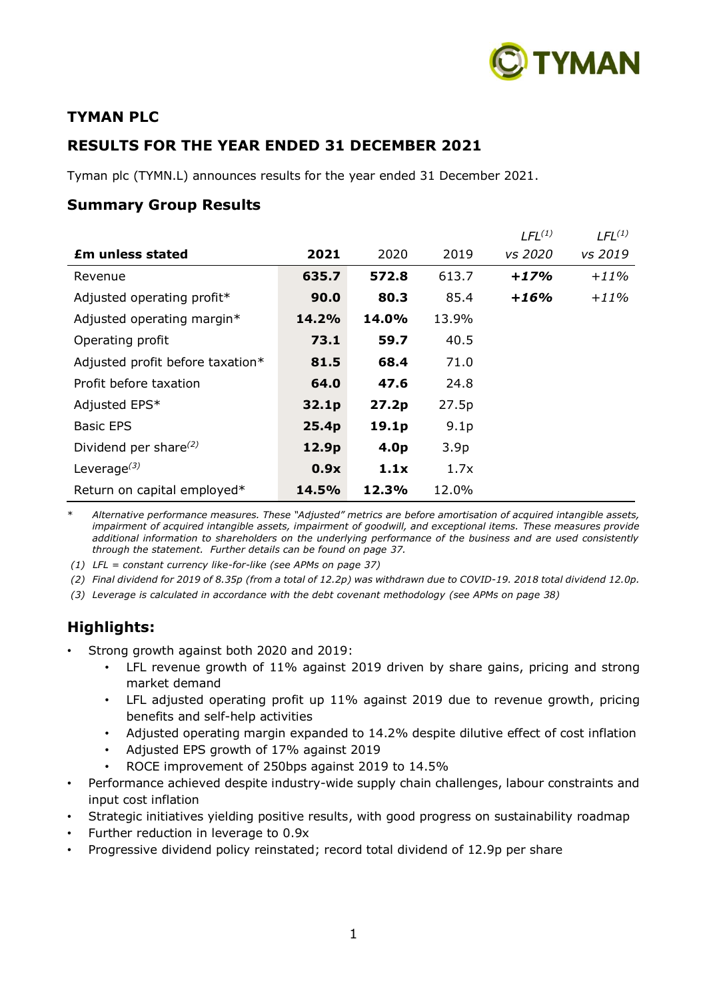

# **TYMAN PLC**

# **RESULTS FOR THE YEAR ENDED 31 DECEMBER 2021**

Tyman plc (TYMN.L) announces results for the year ended 31 December 2021.

# **Summary Group Results**

|                                  |       |                  |                  | $LFL^{(1)}$ | LFL <sup>(1)</sup> |
|----------------------------------|-------|------------------|------------------|-------------|--------------------|
| <b>Em unless stated</b>          | 2021  | 2020             | 2019             | vs 2020     | vs 2019            |
| Revenue                          | 635.7 | 572.8            | 613.7            | $+17%$      | $+11\%$            |
| Adjusted operating profit*       | 90.0  | 80.3             | 85.4             | $+16%$      | $+11\%$            |
| Adjusted operating margin*       | 14.2% | 14.0%            | 13.9%            |             |                    |
| Operating profit                 | 73.1  | 59.7             | 40.5             |             |                    |
| Adjusted profit before taxation* | 81.5  | 68.4             | 71.0             |             |                    |
| Profit before taxation           | 64.0  | 47.6             | 24.8             |             |                    |
| Adjusted EPS*                    | 32.1p | 27.2p            | 27.5p            |             |                    |
| <b>Basic EPS</b>                 | 25.4p | 19.1p            | 9.1 <sub>p</sub> |             |                    |
| Dividend per share $^{(2)}$      | 12.9p | 4.0 <sub>p</sub> | 3.9 <sub>p</sub> |             |                    |
| Leverage $^{(3)}$                | 0.9x  | 1.1x             | 1.7x             |             |                    |
| Return on capital employed*      | 14.5% | 12.3%            | 12.0%            |             |                    |

\* *Alternative performance measures. These "Adjusted" metrics are before amortisation of acquired intangible assets, impairment of acquired intangible assets, impairment of goodwill, and exceptional items. These measures provide additional information to shareholders on the underlying performance of the business and are used consistently through the statement. Further details can be found on page 37.*

*(1) LFL = constant currency like-for-like (see APMs on page 37)*

*(2) Final dividend for 2019 of 8.35p (from a total of 12.2p) was withdrawn due to COVID-19. 2018 total dividend 12.0p.*

*(3) Leverage is calculated in accordance with the debt covenant methodology (see APMs on page 38)*

# **Highlights:**

- Strong growth against both 2020 and 2019:
	- LFL revenue growth of 11% against 2019 driven by share gains, pricing and strong market demand
	- LFL adjusted operating profit up 11% against 2019 due to revenue growth, pricing benefits and self-help activities
	- Adjusted operating margin expanded to 14.2% despite dilutive effect of cost inflation
	- Adjusted EPS growth of 17% against 2019
	- ROCE improvement of 250bps against 2019 to 14.5%
- Performance achieved despite industry-wide supply chain challenges, labour constraints and input cost inflation
- Strategic initiatives yielding positive results, with good progress on sustainability roadmap
- Further reduction in leverage to 0.9x
- Progressive dividend policy reinstated; record total dividend of 12.9p per share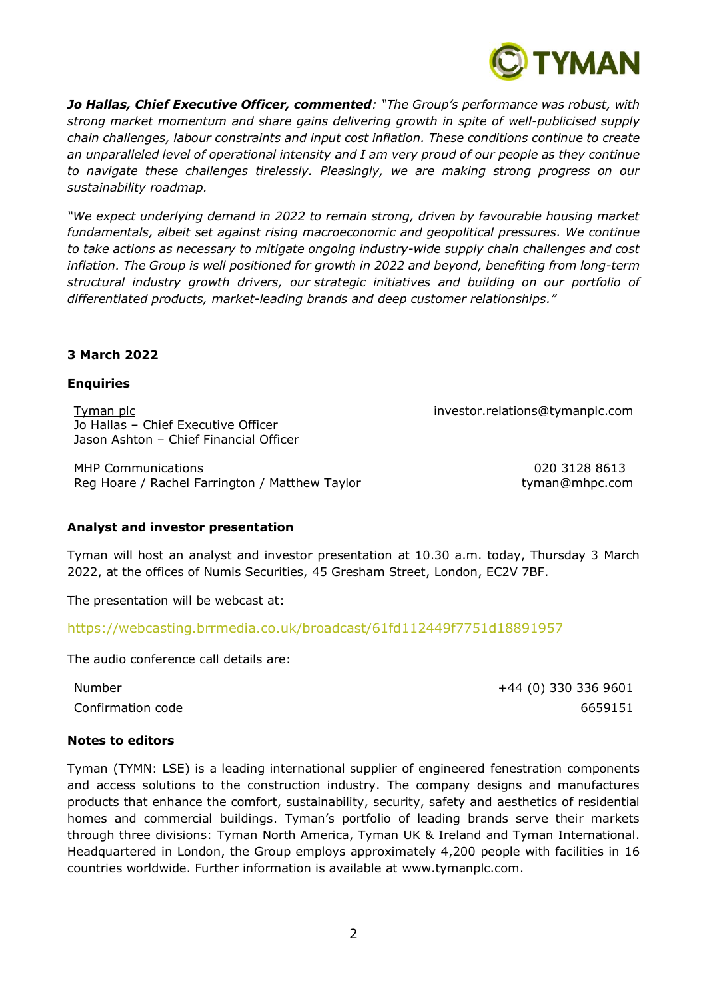

*Jo Hallas, Chief Executive Officer, commented: "The Group's performance was robust, with strong market momentum and share gains delivering growth in spite of well-publicised supply chain challenges, labour constraints and input cost inflation. These conditions continue to create an unparalleled level of operational intensity and I am very proud of our people as they continue to navigate these challenges tirelessly. Pleasingly, we are making strong progress on our sustainability roadmap.*

*"We expect underlying demand in 2022 to remain strong, driven by favourable housing market fundamentals, albeit set against rising macroeconomic and geopolitical pressures. We continue to take actions as necessary to mitigate ongoing industry-wide supply chain challenges and cost inflation. The Group is well positioned for growth in 2022 and beyond, benefiting from long-term structural industry growth drivers, our strategic initiatives and building on our portfolio of differentiated products, market-leading brands and deep customer relationships."*

# **3 March 2022**

# **Enquiries**

Tyman plc investor.relations@tymanplc.com Jo Hallas – Chief Executive Officer Jason Ashton – Chief Financial Officer

MHP Communications 020 3128 8613 Reg Hoare / Rachel Farrington / Matthew Taylor the state of the tyman@mhpc.com

# **Analyst and investor presentation**

Tyman will host an analyst and investor presentation at 10.30 a.m. today, Thursday 3 March 2022, at the offices of Numis Securities, 45 Gresham Street, London, EC2V 7BF.

The presentation will be webcast at:

[https://webcasting.brrmedia.co.uk/broadcast/61fd112449f7751d18891957](https://eur01.safelinks.protection.outlook.com/?url=https%3A%2F%2Fwebcasting.brrmedia.co.uk%2Fbroadcast%2F61fd112449f7751d18891957&data=04%7C01%7Cjuliette.lowes%40tymanplc.com%7C67ff9aba25a645a752da08d9faded981%7C4f7adb5b083a417596749783fd8af0a5%7C1%7C0%7C637816657447417003%7CUnknown%7CTWFpbGZsb3d8eyJWIjoiMC4wLjAwMDAiLCJQIjoiV2luMzIiLCJBTiI6Ik1haWwiLCJXVCI6Mn0%3D%7C2000&sdata=FnfTtXxEI0g5%2B78FaW9evmtCkXv%2FqzAqvt10ikMUTFc%3D&reserved=0)

The audio conference call details are:

Number +44 (0) 330 336 9601 Confirmation code 6659151

#### **Notes to editors**

Tyman (TYMN: LSE) is a leading international supplier of engineered fenestration components and access solutions to the construction industry. The company designs and manufactures products that enhance the comfort, sustainability, security, safety and aesthetics of residential homes and commercial buildings. Tyman's portfolio of leading brands serve their markets through three divisions: Tyman North America, Tyman UK & Ireland and Tyman International. Headquartered in London, the Group employs approximately 4,200 people with facilities in 16 countries worldwide. Further information is available at [www.tymanplc.com.](http://www.tymanplc.com/)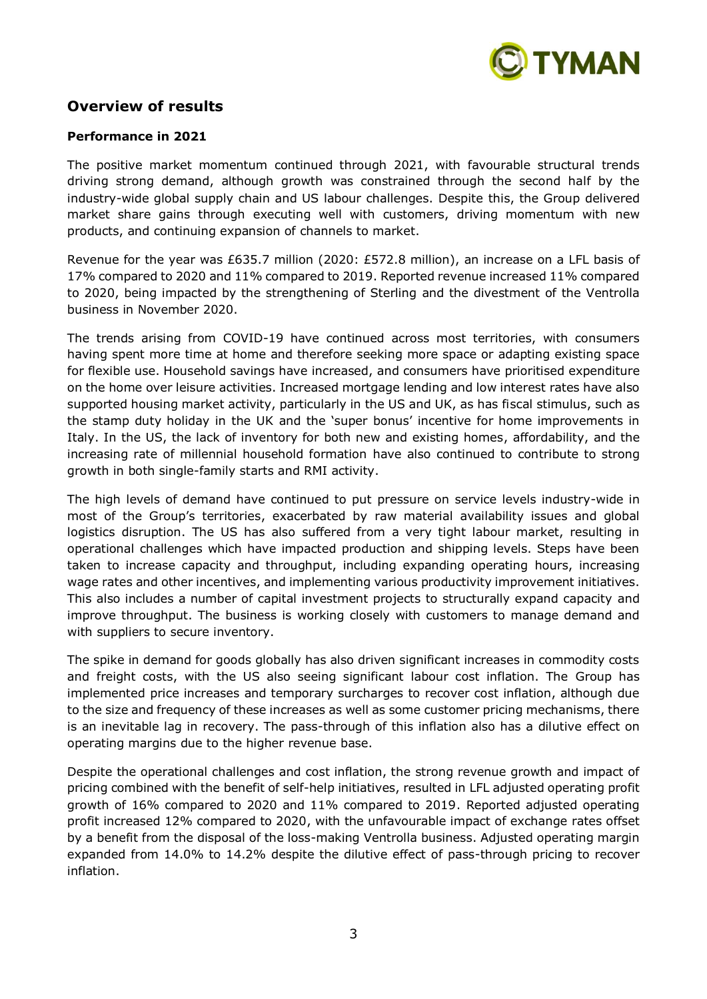

# **Overview of results**

#### **Performance in 2021**

The positive market momentum continued through 2021, with favourable structural trends driving strong demand, although growth was constrained through the second half by the industry-wide global supply chain and US labour challenges. Despite this, the Group delivered market share gains through executing well with customers, driving momentum with new products, and continuing expansion of channels to market.

Revenue for the year was £635.7 million (2020: £572.8 million), an increase on a LFL basis of 17% compared to 2020 and 11% compared to 2019. Reported revenue increased 11% compared to 2020, being impacted by the strengthening of Sterling and the divestment of the Ventrolla business in November 2020.

The trends arising from COVID-19 have continued across most territories, with consumers having spent more time at home and therefore seeking more space or adapting existing space for flexible use. Household savings have increased, and consumers have prioritised expenditure on the home over leisure activities. Increased mortgage lending and low interest rates have also supported housing market activity, particularly in the US and UK, as has fiscal stimulus, such as the stamp duty holiday in the UK and the 'super bonus' incentive for home improvements in Italy. In the US, the lack of inventory for both new and existing homes, affordability, and the increasing rate of millennial household formation have also continued to contribute to strong growth in both single-family starts and RMI activity.

The high levels of demand have continued to put pressure on service levels industry-wide in most of the Group's territories, exacerbated by raw material availability issues and global logistics disruption. The US has also suffered from a very tight labour market, resulting in operational challenges which have impacted production and shipping levels. Steps have been taken to increase capacity and throughput, including expanding operating hours, increasing wage rates and other incentives, and implementing various productivity improvement initiatives. This also includes a number of capital investment projects to structurally expand capacity and improve throughput. The business is working closely with customers to manage demand and with suppliers to secure inventory.

The spike in demand for goods globally has also driven significant increases in commodity costs and freight costs, with the US also seeing significant labour cost inflation. The Group has implemented price increases and temporary surcharges to recover cost inflation, although due to the size and frequency of these increases as well as some customer pricing mechanisms, there is an inevitable lag in recovery. The pass-through of this inflation also has a dilutive effect on operating margins due to the higher revenue base.

Despite the operational challenges and cost inflation, the strong revenue growth and impact of pricing combined with the benefit of self-help initiatives, resulted in LFL adjusted operating profit growth of 16% compared to 2020 and 11% compared to 2019. Reported adjusted operating profit increased 12% compared to 2020, with the unfavourable impact of exchange rates offset by a benefit from the disposal of the loss-making Ventrolla business. Adjusted operating margin expanded from 14.0% to 14.2% despite the dilutive effect of pass-through pricing to recover inflation.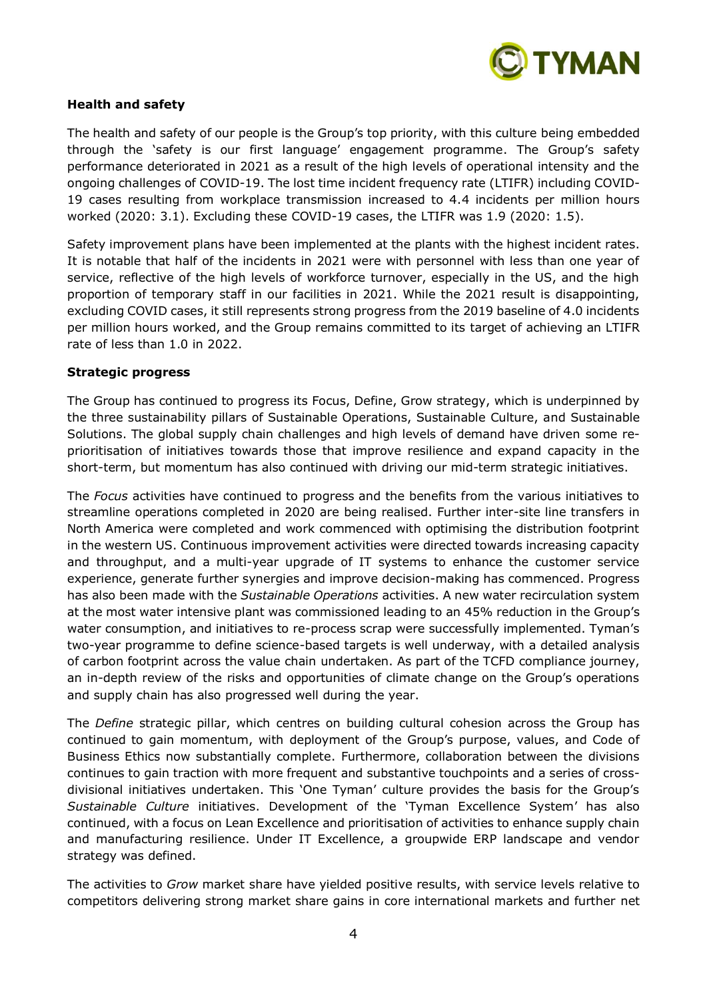

# **Health and safety**

The health and safety of our people is the Group's top priority, with this culture being embedded through the 'safety is our first language' engagement programme. The Group's safety performance deteriorated in 2021 as a result of the high levels of operational intensity and the ongoing challenges of COVID-19. The lost time incident frequency rate (LTIFR) including COVID-19 cases resulting from workplace transmission increased to 4.4 incidents per million hours worked (2020: 3.1). Excluding these COVID-19 cases, the LTIFR was 1.9 (2020: 1.5).

Safety improvement plans have been implemented at the plants with the highest incident rates. It is notable that half of the incidents in 2021 were with personnel with less than one year of service, reflective of the high levels of workforce turnover, especially in the US, and the high proportion of temporary staff in our facilities in 2021. While the 2021 result is disappointing, excluding COVID cases, it still represents strong progress from the 2019 baseline of 4.0 incidents per million hours worked, and the Group remains committed to its target of achieving an LTIFR rate of less than 1.0 in 2022.

#### **Strategic progress**

The Group has continued to progress its Focus, Define, Grow strategy, which is underpinned by the three sustainability pillars of Sustainable Operations, Sustainable Culture, and Sustainable Solutions. The global supply chain challenges and high levels of demand have driven some reprioritisation of initiatives towards those that improve resilience and expand capacity in the short-term, but momentum has also continued with driving our mid-term strategic initiatives.

The *Focus* activities have continued to progress and the benefits from the various initiatives to streamline operations completed in 2020 are being realised. Further inter-site line transfers in North America were completed and work commenced with optimising the distribution footprint in the western US. Continuous improvement activities were directed towards increasing capacity and throughput, and a multi-year upgrade of IT systems to enhance the customer service experience, generate further synergies and improve decision-making has commenced. Progress has also been made with the *Sustainable Operations* activities. A new water recirculation system at the most water intensive plant was commissioned leading to an 45% reduction in the Group's water consumption, and initiatives to re-process scrap were successfully implemented. Tyman's two-year programme to define science-based targets is well underway, with a detailed analysis of carbon footprint across the value chain undertaken. As part of the TCFD compliance journey, an in-depth review of the risks and opportunities of climate change on the Group's operations and supply chain has also progressed well during the year.

The *Define* strategic pillar, which centres on building cultural cohesion across the Group has continued to gain momentum, with deployment of the Group's purpose, values, and Code of Business Ethics now substantially complete. Furthermore, collaboration between the divisions continues to gain traction with more frequent and substantive touchpoints and a series of crossdivisional initiatives undertaken. This 'One Tyman' culture provides the basis for the Group's *Sustainable Culture* initiatives. Development of the 'Tyman Excellence System' has also continued, with a focus on Lean Excellence and prioritisation of activities to enhance supply chain and manufacturing resilience. Under IT Excellence, a groupwide ERP landscape and vendor strategy was defined.

The activities to *Grow* market share have yielded positive results, with service levels relative to competitors delivering strong market share gains in core international markets and further net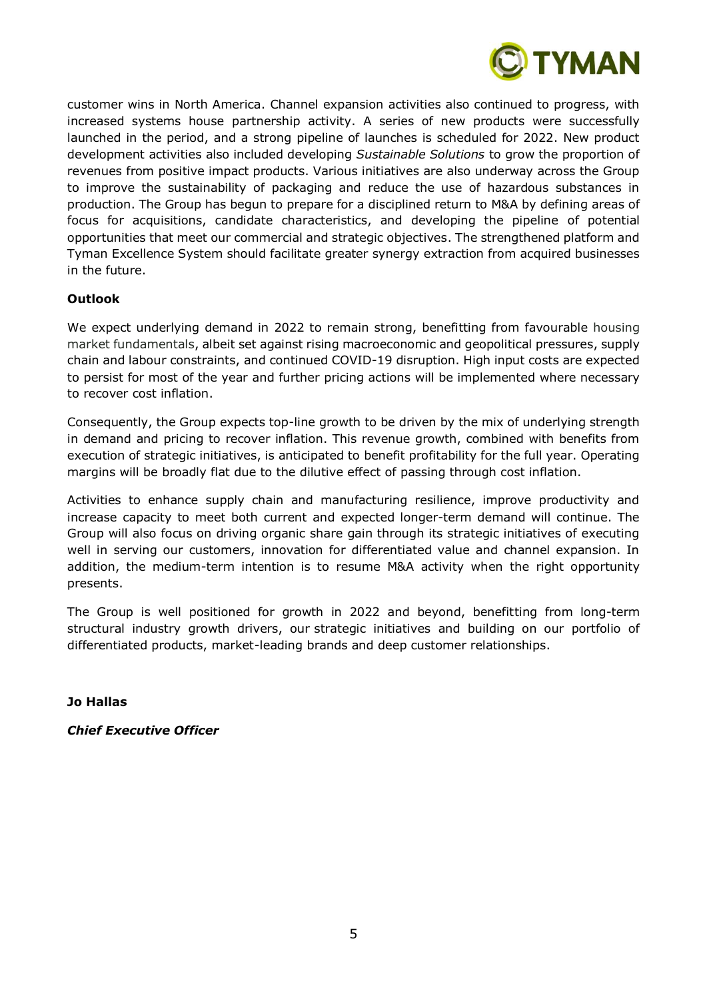

customer wins in North America. Channel expansion activities also continued to progress, with increased systems house partnership activity. A series of new products were successfully launched in the period, and a strong pipeline of launches is scheduled for 2022. New product development activities also included developing *Sustainable Solutions* to grow the proportion of revenues from positive impact products. Various initiatives are also underway across the Group to improve the sustainability of packaging and reduce the use of hazardous substances in production. The Group has begun to prepare for a disciplined return to M&A by defining areas of focus for acquisitions, candidate characteristics, and developing the pipeline of potential opportunities that meet our commercial and strategic objectives. The strengthened platform and Tyman Excellence System should facilitate greater synergy extraction from acquired businesses in the future.

# **Outlook**

We expect underlying demand in 2022 to remain strong, benefitting from favourable housing market fundamentals, albeit set against rising macroeconomic and geopolitical pressures, supply chain and labour constraints, and continued COVID-19 disruption. High input costs are expected to persist for most of the year and further pricing actions will be implemented where necessary to recover cost inflation.

Consequently, the Group expects top-line growth to be driven by the mix of underlying strength in demand and pricing to recover inflation. This revenue growth, combined with benefits from execution of strategic initiatives, is anticipated to benefit profitability for the full year. Operating margins will be broadly flat due to the dilutive effect of passing through cost inflation.

Activities to enhance supply chain and manufacturing resilience, improve productivity and increase capacity to meet both current and expected longer-term demand will continue. The Group will also focus on driving organic share gain through its strategic initiatives of executing well in serving our customers, innovation for differentiated value and channel expansion. In addition, the medium-term intention is to resume M&A activity when the right opportunity presents.

The Group is well positioned for growth in 2022 and beyond, benefitting from long-term structural industry growth drivers, our strategic initiatives and building on our portfolio of differentiated products, market-leading brands and deep customer relationships.

**Jo Hallas**

*Chief Executive Officer*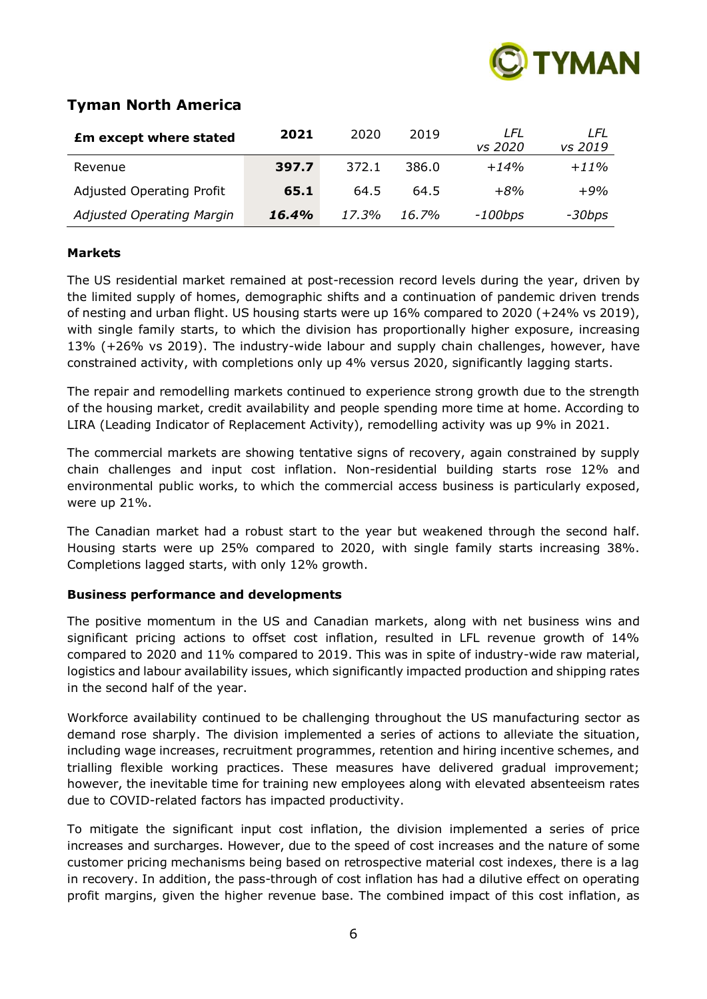

# **Tyman North America**

| <b>£m except where stated</b>    | 2021  | 2020  | 2019     | LFL<br>vs 2020 | I FI<br>vs 2019 |
|----------------------------------|-------|-------|----------|----------------|-----------------|
| Revenue                          | 397.7 | 372.1 | 386.0    | $+14%$         | $+11\%$         |
| <b>Adjusted Operating Profit</b> | 65.1  | 64.5  | 64.5     | $+8%$          | $+9%$           |
| Adjusted Operating Margin        | 16.4% | 17.3% | $16.7\%$ | $-100$ bps     | -30bps          |

# **Markets**

The US residential market remained at post-recession record levels during the year, driven by the limited supply of homes, demographic shifts and a continuation of pandemic driven trends of nesting and urban flight. US housing starts were up 16% compared to 2020 (+24% vs 2019), with single family starts, to which the division has proportionally higher exposure, increasing 13% (+26% vs 2019). The industry-wide labour and supply chain challenges, however, have constrained activity, with completions only up 4% versus 2020, significantly lagging starts.

The repair and remodelling markets continued to experience strong growth due to the strength of the housing market, credit availability and people spending more time at home. According to LIRA (Leading Indicator of Replacement Activity), remodelling activity was up 9% in 2021.

The commercial markets are showing tentative signs of recovery, again constrained by supply chain challenges and input cost inflation. Non-residential building starts rose 12% and environmental public works, to which the commercial access business is particularly exposed, were up 21%.

The Canadian market had a robust start to the year but weakened through the second half. Housing starts were up 25% compared to 2020, with single family starts increasing 38%. Completions lagged starts, with only 12% growth.

# **Business performance and developments**

The positive momentum in the US and Canadian markets, along with net business wins and significant pricing actions to offset cost inflation, resulted in LFL revenue growth of 14% compared to 2020 and 11% compared to 2019. This was in spite of industry-wide raw material, logistics and labour availability issues, which significantly impacted production and shipping rates in the second half of the year.

Workforce availability continued to be challenging throughout the US manufacturing sector as demand rose sharply. The division implemented a series of actions to alleviate the situation, including wage increases, recruitment programmes, retention and hiring incentive schemes, and trialling flexible working practices. These measures have delivered gradual improvement; however, the inevitable time for training new employees along with elevated absenteeism rates due to COVID-related factors has impacted productivity.

To mitigate the significant input cost inflation, the division implemented a series of price increases and surcharges. However, due to the speed of cost increases and the nature of some customer pricing mechanisms being based on retrospective material cost indexes, there is a lag in recovery. In addition, the pass-through of cost inflation has had a dilutive effect on operating profit margins, given the higher revenue base. The combined impact of this cost inflation, as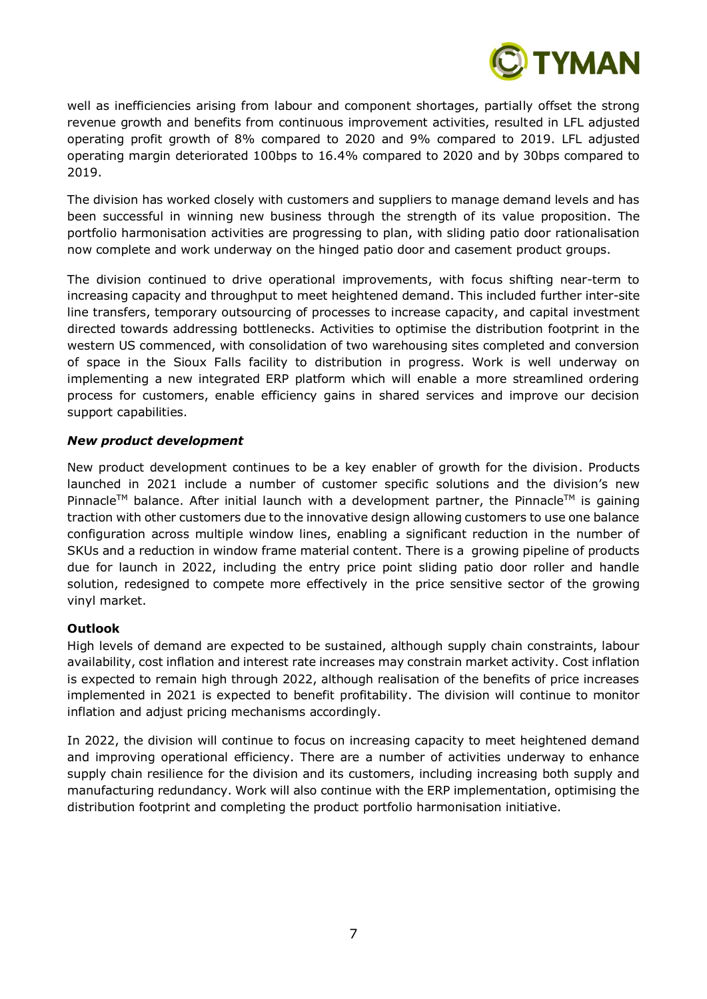

well as inefficiencies arising from labour and component shortages, partially offset the strong revenue growth and benefits from continuous improvement activities, resulted in LFL adjusted operating profit growth of 8% compared to 2020 and 9% compared to 2019. LFL adjusted operating margin deteriorated 100bps to 16.4% compared to 2020 and by 30bps compared to 2019.

The division has worked closely with customers and suppliers to manage demand levels and has been successful in winning new business through the strength of its value proposition. The portfolio harmonisation activities are progressing to plan, with sliding patio door rationalisation now complete and work underway on the hinged patio door and casement product groups.

The division continued to drive operational improvements, with focus shifting near-term to increasing capacity and throughput to meet heightened demand. This included further inter-site line transfers, temporary outsourcing of processes to increase capacity, and capital investment directed towards addressing bottlenecks. Activities to optimise the distribution footprint in the western US commenced, with consolidation of two warehousing sites completed and conversion of space in the Sioux Falls facility to distribution in progress. Work is well underway on implementing a new integrated ERP platform which will enable a more streamlined ordering process for customers, enable efficiency gains in shared services and improve our decision support capabilities.

# *New product development*

New product development continues to be a key enabler of growth for the division. Products launched in 2021 include a number of customer specific solutions and the division's new Pinnacle<sup>TM</sup> balance. After initial launch with a development partner, the Pinnacle<sup>TM</sup> is gaining traction with other customers due to the innovative design allowing customers to use one balance configuration across multiple window lines, enabling a significant reduction in the number of SKUs and a reduction in window frame material content. There is a growing pipeline of products due for launch in 2022, including the entry price point sliding patio door roller and handle solution, redesigned to compete more effectively in the price sensitive sector of the growing vinyl market.

# **Outlook**

High levels of demand are expected to be sustained, although supply chain constraints, labour availability, cost inflation and interest rate increases may constrain market activity. Cost inflation is expected to remain high through 2022, although realisation of the benefits of price increases implemented in 2021 is expected to benefit profitability. The division will continue to monitor inflation and adjust pricing mechanisms accordingly.

In 2022, the division will continue to focus on increasing capacity to meet heightened demand and improving operational efficiency. There are a number of activities underway to enhance supply chain resilience for the division and its customers, including increasing both supply and manufacturing redundancy. Work will also continue with the ERP implementation, optimising the distribution footprint and completing the product portfolio harmonisation initiative.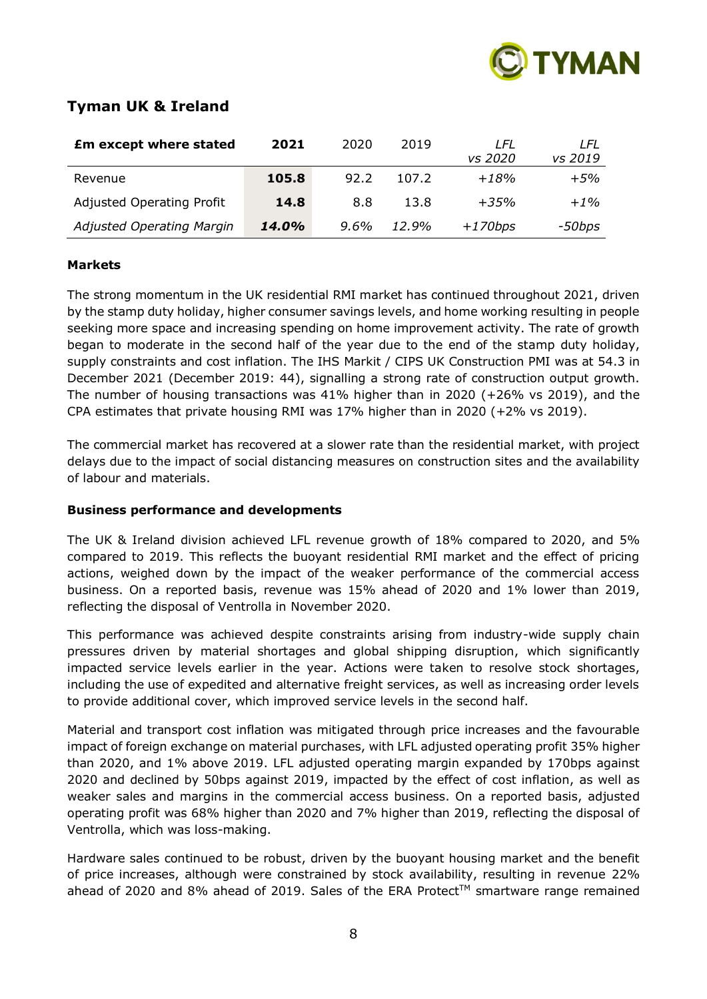

# **Tyman UK & Ireland**

| <b>£m except where stated</b>    | 2021  | 2020 | 2019  | LFL<br>vs 2020 | LFL<br>vs 2019 |
|----------------------------------|-------|------|-------|----------------|----------------|
| Revenue                          | 105.8 | 92.2 | 107.2 | $+18%$         | $+5%$          |
| <b>Adjusted Operating Profit</b> | 14.8  | 8.8  | 13.8  | $+35%$         | $+1\%$         |
| Adjusted Operating Margin        | 14.0% | 9.6% | 12.9% | $+170bps$      | -50bps         |

# **Markets**

The strong momentum in the UK residential RMI market has continued throughout 2021, driven by the stamp duty holiday, higher consumer savings levels, and home working resulting in people seeking more space and increasing spending on home improvement activity. The rate of growth began to moderate in the second half of the year due to the end of the stamp duty holiday, supply constraints and cost inflation. The IHS Markit / CIPS UK Construction PMI was at 54.3 in December 2021 (December 2019: 44), signalling a strong rate of construction output growth. The number of housing transactions was 41% higher than in 2020 (+26% vs 2019), and the CPA estimates that private housing RMI was 17% higher than in 2020 (+2% vs 2019).

The commercial market has recovered at a slower rate than the residential market, with project delays due to the impact of social distancing measures on construction sites and the availability of labour and materials.

# **Business performance and developments**

The UK & Ireland division achieved LFL revenue growth of 18% compared to 2020, and 5% compared to 2019. This reflects the buoyant residential RMI market and the effect of pricing actions, weighed down by the impact of the weaker performance of the commercial access business. On a reported basis, revenue was 15% ahead of 2020 and 1% lower than 2019, reflecting the disposal of Ventrolla in November 2020.

This performance was achieved despite constraints arising from industry-wide supply chain pressures driven by material shortages and global shipping disruption, which significantly impacted service levels earlier in the year. Actions were taken to resolve stock shortages, including the use of expedited and alternative freight services, as well as increasing order levels to provide additional cover, which improved service levels in the second half.

Material and transport cost inflation was mitigated through price increases and the favourable impact of foreign exchange on material purchases, with LFL adjusted operating profit 35% higher than 2020, and 1% above 2019. LFL adjusted operating margin expanded by 170bps against 2020 and declined by 50bps against 2019, impacted by the effect of cost inflation, as well as weaker sales and margins in the commercial access business. On a reported basis, adjusted operating profit was 68% higher than 2020 and 7% higher than 2019, reflecting the disposal of Ventrolla, which was loss-making.

Hardware sales continued to be robust, driven by the buoyant housing market and the benefit of price increases, although were constrained by stock availability, resulting in revenue 22% ahead of 2020 and 8% ahead of 2019. Sales of the ERA Protect™ smartware range remained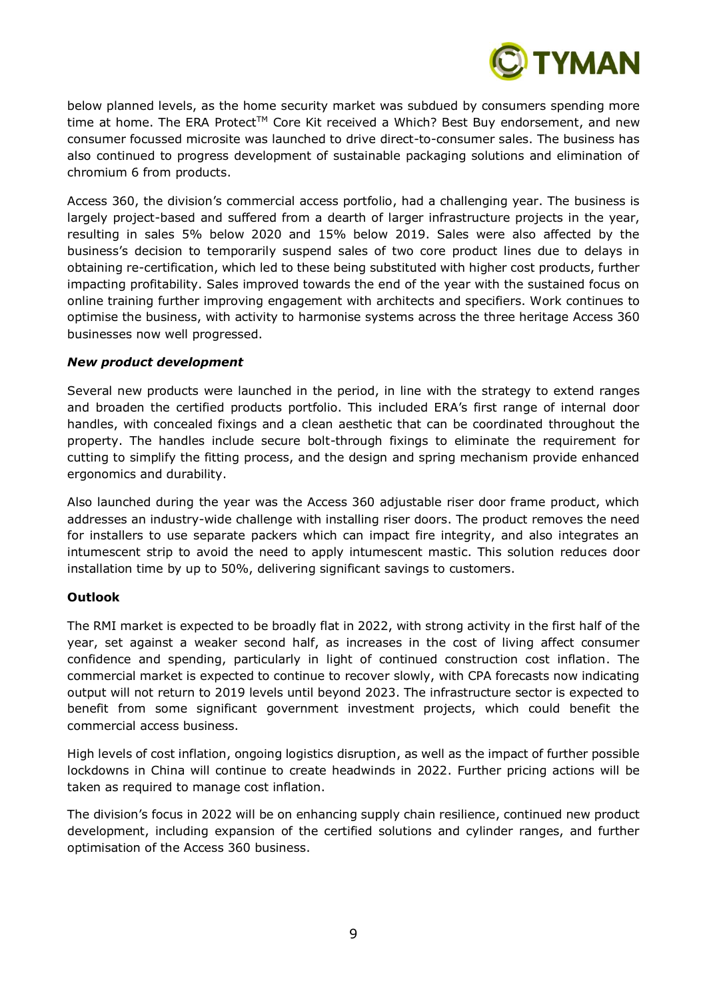

below planned levels, as the home security market was subdued by consumers spending more time at home. The ERA Protect<sup>TM</sup> Core Kit received a Which? Best Buy endorsement, and new consumer focussed microsite was launched to drive direct-to-consumer sales. The business has also continued to progress development of sustainable packaging solutions and elimination of chromium 6 from products.

Access 360, the division's commercial access portfolio, had a challenging year. The business is largely project-based and suffered from a dearth of larger infrastructure projects in the year, resulting in sales 5% below 2020 and 15% below 2019. Sales were also affected by the business's decision to temporarily suspend sales of two core product lines due to delays in obtaining re-certification, which led to these being substituted with higher cost products, further impacting profitability. Sales improved towards the end of the year with the sustained focus on online training further improving engagement with architects and specifiers. Work continues to optimise the business, with activity to harmonise systems across the three heritage Access 360 businesses now well progressed.

#### *New product development*

Several new products were launched in the period, in line with the strategy to extend ranges and broaden the certified products portfolio. This included ERA's first range of internal door handles, with concealed fixings and a clean aesthetic that can be coordinated throughout the property. The handles include secure bolt-through fixings to eliminate the requirement for cutting to simplify the fitting process, and the design and spring mechanism provide enhanced ergonomics and durability.

Also launched during the year was the Access 360 adjustable riser door frame product, which addresses an industry-wide challenge with installing riser doors. The product removes the need for installers to use separate packers which can impact fire integrity, and also integrates an intumescent strip to avoid the need to apply intumescent mastic. This solution reduces door installation time by up to 50%, delivering significant savings to customers.

#### **Outlook**

The RMI market is expected to be broadly flat in 2022, with strong activity in the first half of the year, set against a weaker second half, as increases in the cost of living affect consumer confidence and spending, particularly in light of continued construction cost inflation. The commercial market is expected to continue to recover slowly, with CPA forecasts now indicating output will not return to 2019 levels until beyond 2023. The infrastructure sector is expected to benefit from some significant government investment projects, which could benefit the commercial access business.

High levels of cost inflation, ongoing logistics disruption, as well as the impact of further possible lockdowns in China will continue to create headwinds in 2022. Further pricing actions will be taken as required to manage cost inflation.

The division's focus in 2022 will be on enhancing supply chain resilience, continued new product development, including expansion of the certified solutions and cylinder ranges, and further optimisation of the Access 360 business.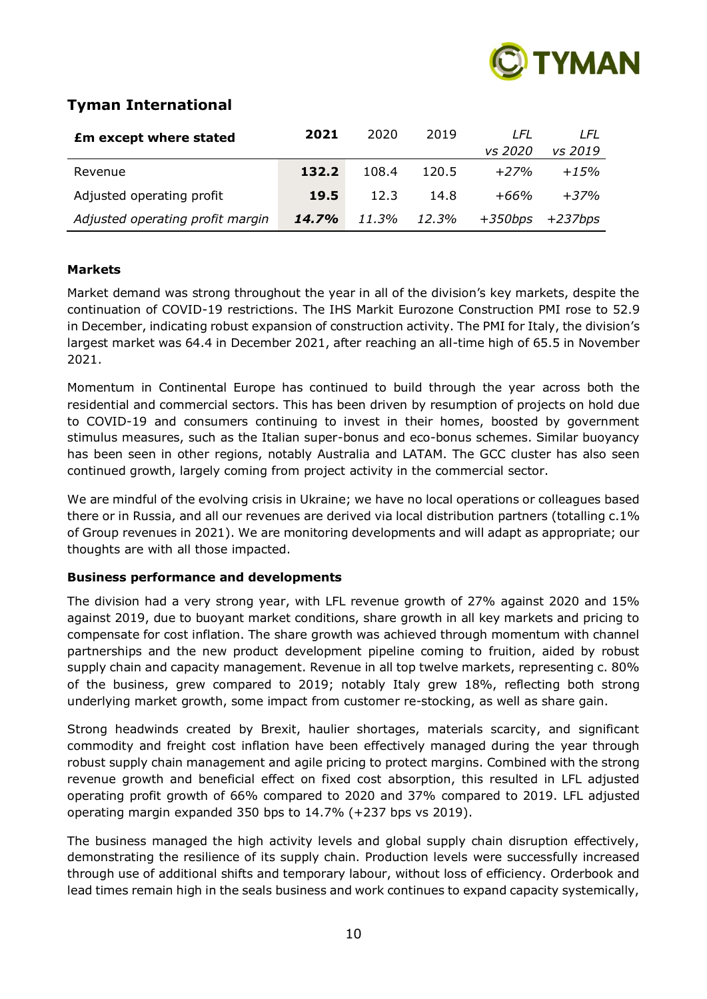

# **Tyman International**

| <b>£m except where stated</b>    | 2021  | 2020  | 2019  | I FL      | LFL        |
|----------------------------------|-------|-------|-------|-----------|------------|
|                                  |       |       |       | vs 2020   | vs 2019    |
| Revenue                          | 132.2 | 108.4 | 120.5 | $+27%$    | $+15%$     |
| Adjusted operating profit        | 19.5  | 12.3  | 14.8  | +66%      | $+37%$     |
| Adjusted operating profit margin | 14.7% | 11.3% | 12.3% | $+350bps$ | $+237$ bps |

# **Markets**

Market demand was strong throughout the year in all of the division's key markets, despite the continuation of COVID-19 restrictions. The IHS Markit Eurozone Construction PMI rose to 52.9 in December, indicating robust expansion of construction activity. The PMI for Italy, the division's largest market was 64.4 in December 2021, after reaching an all-time high of 65.5 in November 2021.

Momentum in Continental Europe has continued to build through the year across both the residential and commercial sectors. This has been driven by resumption of projects on hold due to COVID-19 and consumers continuing to invest in their homes, boosted by government stimulus measures, such as the Italian super-bonus and eco-bonus schemes. Similar buoyancy has been seen in other regions, notably Australia and LATAM. The GCC cluster has also seen continued growth, largely coming from project activity in the commercial sector.

We are mindful of the evolving crisis in Ukraine; we have no local operations or colleagues based there or in Russia, and all our revenues are derived via local distribution partners (totalling c.1% of Group revenues in 2021). We are monitoring developments and will adapt as appropriate; our thoughts are with all those impacted.

# **Business performance and developments**

The division had a very strong year, with LFL revenue growth of 27% against 2020 and 15% against 2019, due to buoyant market conditions, share growth in all key markets and pricing to compensate for cost inflation. The share growth was achieved through momentum with channel partnerships and the new product development pipeline coming to fruition, aided by robust supply chain and capacity management. Revenue in all top twelve markets, representing c. 80% of the business, grew compared to 2019; notably Italy grew 18%, reflecting both strong underlying market growth, some impact from customer re-stocking, as well as share gain.

Strong headwinds created by Brexit, haulier shortages, materials scarcity, and significant commodity and freight cost inflation have been effectively managed during the year through robust supply chain management and agile pricing to protect margins. Combined with the strong revenue growth and beneficial effect on fixed cost absorption, this resulted in LFL adjusted operating profit growth of 66% compared to 2020 and 37% compared to 2019. LFL adjusted operating margin expanded 350 bps to 14.7% (+237 bps vs 2019).

The business managed the high activity levels and global supply chain disruption effectively, demonstrating the resilience of its supply chain. Production levels were successfully increased through use of additional shifts and temporary labour, without loss of efficiency. Orderbook and lead times remain high in the seals business and work continues to expand capacity systemically,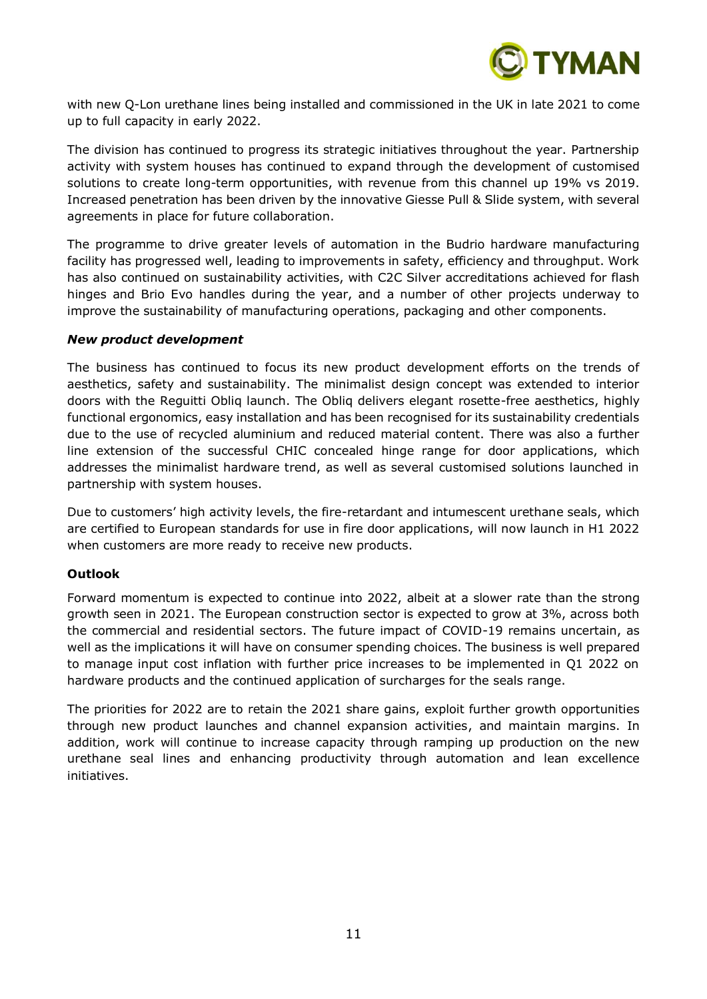

with new Q-Lon urethane lines being installed and commissioned in the UK in late 2021 to come up to full capacity in early 2022.

The division has continued to progress its strategic initiatives throughout the year. Partnership activity with system houses has continued to expand through the development of customised solutions to create long-term opportunities, with revenue from this channel up 19% vs 2019. Increased penetration has been driven by the innovative Giesse Pull & Slide system, with several agreements in place for future collaboration.

The programme to drive greater levels of automation in the Budrio hardware manufacturing facility has progressed well, leading to improvements in safety, efficiency and throughput. Work has also continued on sustainability activities, with C2C Silver accreditations achieved for flash hinges and Brio Evo handles during the year, and a number of other projects underway to improve the sustainability of manufacturing operations, packaging and other components.

#### *New product development*

The business has continued to focus its new product development efforts on the trends of aesthetics, safety and sustainability. The minimalist design concept was extended to interior doors with the Reguitti Obliq launch. The Obliq delivers elegant rosette-free aesthetics, highly functional ergonomics, easy installation and has been recognised for its sustainability credentials due to the use of recycled aluminium and reduced material content. There was also a further line extension of the successful CHIC concealed hinge range for door applications, which addresses the minimalist hardware trend, as well as several customised solutions launched in partnership with system houses.

Due to customers' high activity levels, the fire-retardant and intumescent urethane seals, which are certified to European standards for use in fire door applications, will now launch in H1 2022 when customers are more ready to receive new products.

# **Outlook**

Forward momentum is expected to continue into 2022, albeit at a slower rate than the strong growth seen in 2021. The European construction sector is expected to grow at 3%, across both the commercial and residential sectors. The future impact of COVID-19 remains uncertain, as well as the implications it will have on consumer spending choices. The business is well prepared to manage input cost inflation with further price increases to be implemented in Q1 2022 on hardware products and the continued application of surcharges for the seals range.

The priorities for 2022 are to retain the 2021 share gains, exploit further growth opportunities through new product launches and channel expansion activities, and maintain margins. In addition, work will continue to increase capacity through ramping up production on the new urethane seal lines and enhancing productivity through automation and lean excellence initiatives.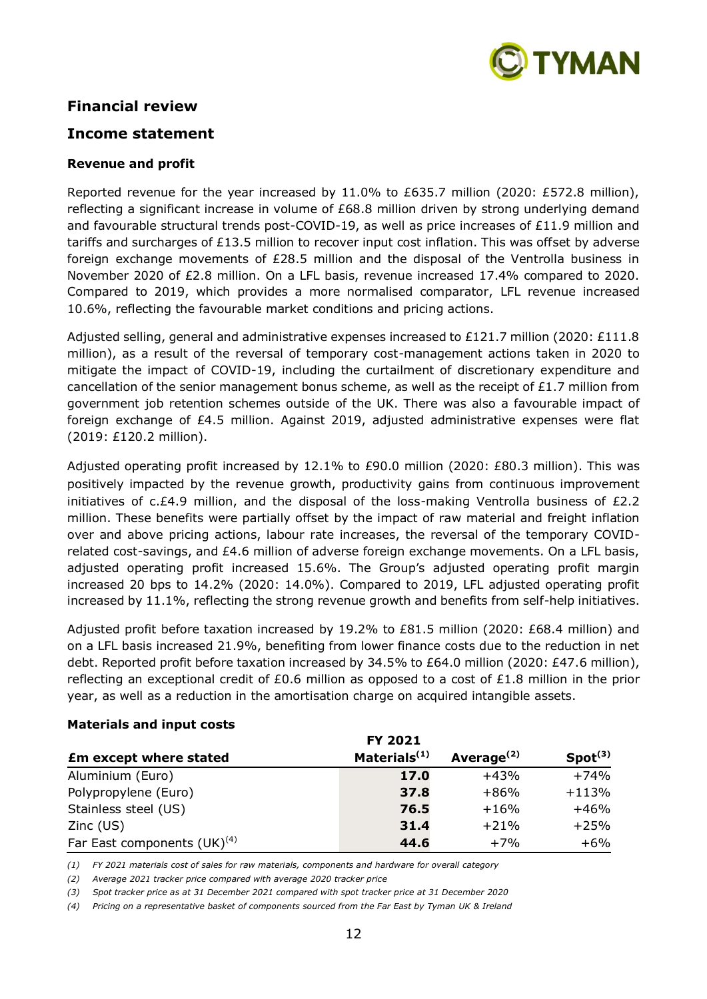

# **Financial review**

# **Income statement**

#### **Revenue and profit**

Reported revenue for the year increased by 11.0% to £635.7 million (2020: £572.8 million), reflecting a significant increase in volume of £68.8 million driven by strong underlying demand and favourable structural trends post-COVID-19, as well as price increases of £11.9 million and tariffs and surcharges of £13.5 million to recover input cost inflation. This was offset by adverse foreign exchange movements of £28.5 million and the disposal of the Ventrolla business in November 2020 of £2.8 million. On a LFL basis, revenue increased 17.4% compared to 2020. Compared to 2019, which provides a more normalised comparator, LFL revenue increased 10.6%, reflecting the favourable market conditions and pricing actions.

Adjusted selling, general and administrative expenses increased to £121.7 million (2020: £111.8 million), as a result of the reversal of temporary cost-management actions taken in 2020 to mitigate the impact of COVID-19, including the curtailment of discretionary expenditure and cancellation of the senior management bonus scheme, as well as the receipt of £1.7 million from government job retention schemes outside of the UK. There was also a favourable impact of foreign exchange of £4.5 million. Against 2019, adjusted administrative expenses were flat (2019: £120.2 million).

Adjusted operating profit increased by 12.1% to £90.0 million (2020: £80.3 million). This was positively impacted by the revenue growth, productivity gains from continuous improvement initiatives of c.£4.9 million, and the disposal of the loss-making Ventrolla business of £2.2 million. These benefits were partially offset by the impact of raw material and freight inflation over and above pricing actions, labour rate increases, the reversal of the temporary COVIDrelated cost-savings, and £4.6 million of adverse foreign exchange movements. On a LFL basis, adjusted operating profit increased 15.6%. The Group's adjusted operating profit margin increased 20 bps to 14.2% (2020: 14.0%). Compared to 2019, LFL adjusted operating profit increased by 11.1%, reflecting the strong revenue growth and benefits from self-help initiatives.

Adjusted profit before taxation increased by 19.2% to £81.5 million (2020: £68.4 million) and on a LFL basis increased 21.9%, benefiting from lower finance costs due to the reduction in net debt. Reported profit before taxation increased by 34.5% to £64.0 million (2020: £47.6 million), reflecting an exceptional credit of £0.6 million as opposed to a cost of £1.8 million in the prior year, as well as a reduction in the amortisation charge on acquired intangible assets.

#### **Materials and input costs**

|                                  | <b>FY 2021</b>           |               |                     |
|----------------------------------|--------------------------|---------------|---------------------|
| <b>£m except where stated</b>    | Materials <sup>(1)</sup> | Average $(2)$ | Spot <sup>(3)</sup> |
| Aluminium (Euro)                 | 17.0                     | $+43%$        | $+74%$              |
| Polypropylene (Euro)             | 37.8                     | $+86%$        | $+113%$             |
| Stainless steel (US)             | 76.5                     | $+16%$        | $+46%$              |
| Zinc (US)                        | 31.4                     | $+21%$        | $+25%$              |
| Far East components $(UK)^{(4)}$ | 44.6                     | $+7%$         | $+6\%$              |

*(1) FY 2021 materials cost of sales for raw materials, components and hardware for overall category*

*(2) Average 2021 tracker price compared with average 2020 tracker price* 

*(3) Spot tracker price as at 31 December 2021 compared with spot tracker price at 31 December 2020*

*(4) Pricing on a representative basket of components sourced from the Far East by Tyman UK & Ireland*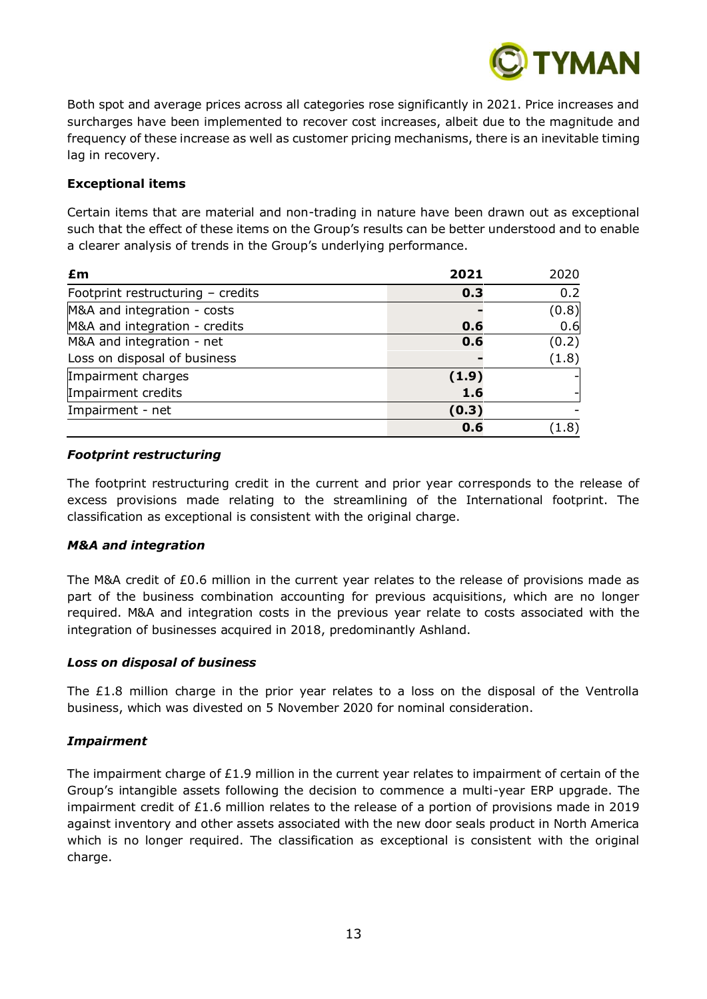

Both spot and average prices across all categories rose significantly in 2021. Price increases and surcharges have been implemented to recover cost increases, albeit due to the magnitude and frequency of these increase as well as customer pricing mechanisms, there is an inevitable timing lag in recovery.

# **Exceptional items**

Certain items that are material and non-trading in nature have been drawn out as exceptional such that the effect of these items on the Group's results can be better understood and to enable a clearer analysis of trends in the Group's underlying performance.

| £m                                | 2021  | 2020         |
|-----------------------------------|-------|--------------|
| Footprint restructuring - credits | 0.3   | 0.2          |
| M&A and integration - costs       |       | (0.8)        |
| M&A and integration - credits     | 0.6   | 0.6          |
| M&A and integration - net         | 0.6   | (0.2)        |
| Loss on disposal of business      |       | (1.8)        |
| Impairment charges                | (1.9) |              |
| Impairment credits                | 1.6   |              |
| Impairment - net                  | (0.3) |              |
|                                   | 0.6   | $.8^{\circ}$ |

#### *Footprint restructuring*

The footprint restructuring credit in the current and prior year corresponds to the release of excess provisions made relating to the streamlining of the International footprint. The classification as exceptional is consistent with the original charge.

# *M&A and integration*

The M&A credit of £0.6 million in the current year relates to the release of provisions made as part of the business combination accounting for previous acquisitions, which are no longer required. M&A and integration costs in the previous year relate to costs associated with the integration of businesses acquired in 2018, predominantly Ashland.

# *Loss on disposal of business*

The £1.8 million charge in the prior year relates to a loss on the disposal of the Ventrolla business, which was divested on 5 November 2020 for nominal consideration.

# *Impairment*

The impairment charge of £1.9 million in the current year relates to impairment of certain of the Group's intangible assets following the decision to commence a multi-year ERP upgrade. The impairment credit of £1.6 million relates to the release of a portion of provisions made in 2019 against inventory and other assets associated with the new door seals product in North America which is no longer required. The classification as exceptional is consistent with the original charge.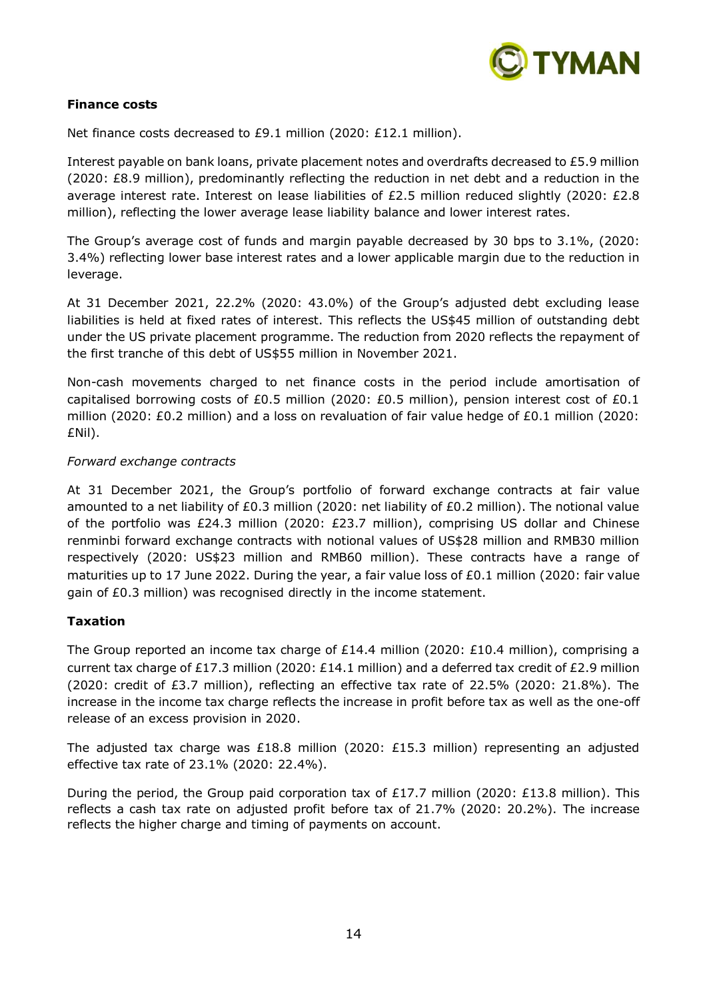

# **Finance costs**

Net finance costs decreased to £9.1 million (2020: £12.1 million).

Interest payable on bank loans, private placement notes and overdrafts decreased to £5.9 million (2020: £8.9 million), predominantly reflecting the reduction in net debt and a reduction in the average interest rate. Interest on lease liabilities of £2.5 million reduced slightly (2020: £2.8 million), reflecting the lower average lease liability balance and lower interest rates.

The Group's average cost of funds and margin payable decreased by 30 bps to 3.1%, (2020: 3.4%) reflecting lower base interest rates and a lower applicable margin due to the reduction in leverage.

At 31 December 2021, 22.2% (2020: 43.0%) of the Group's adjusted debt excluding lease liabilities is held at fixed rates of interest. This reflects the US\$45 million of outstanding debt under the US private placement programme. The reduction from 2020 reflects the repayment of the first tranche of this debt of US\$55 million in November 2021.

Non-cash movements charged to net finance costs in the period include amortisation of capitalised borrowing costs of £0.5 million (2020: £0.5 million), pension interest cost of  $£0.1$ million (2020: £0.2 million) and a loss on revaluation of fair value hedge of £0.1 million (2020: £Nil).

#### *Forward exchange contracts*

At 31 December 2021, the Group's portfolio of forward exchange contracts at fair value amounted to a net liability of £0.3 million (2020: net liability of £0.2 million). The notional value of the portfolio was £24.3 million (2020: £23.7 million), comprising US dollar and Chinese renminbi forward exchange contracts with notional values of US\$28 million and RMB30 million respectively (2020: US\$23 million and RMB60 million). These contracts have a range of maturities up to 17 June 2022. During the year, a fair value loss of £0.1 million (2020: fair value gain of £0.3 million) was recognised directly in the income statement.

# **Taxation**

The Group reported an income tax charge of £14.4 million (2020: £10.4 million), comprising a current tax charge of £17.3 million (2020: £14.1 million) and a deferred tax credit of £2.9 million (2020: credit of  $E3.7$  million), reflecting an effective tax rate of 22.5% (2020: 21.8%). The increase in the income tax charge reflects the increase in profit before tax as well as the one-off release of an excess provision in 2020.

The adjusted tax charge was £18.8 million (2020: £15.3 million) representing an adjusted effective tax rate of 23.1% (2020: 22.4%).

During the period, the Group paid corporation tax of £17.7 million (2020: £13.8 million). This reflects a cash tax rate on adjusted profit before tax of 21.7% (2020: 20.2%). The increase reflects the higher charge and timing of payments on account.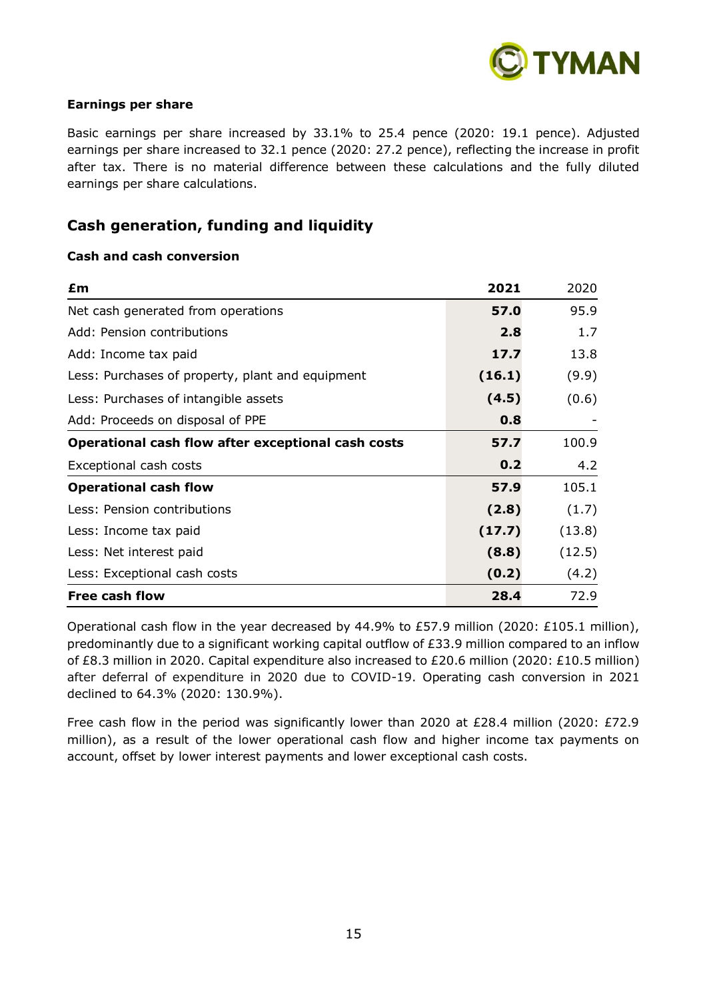

#### **Earnings per share**

Basic earnings per share increased by 33.1% to 25.4 pence (2020: 19.1 pence). Adjusted earnings per share increased to 32.1 pence (2020: 27.2 pence), reflecting the increase in profit after tax. There is no material difference between these calculations and the fully diluted earnings per share calculations.

# **Cash generation, funding and liquidity**

#### **Cash and cash conversion**

| £m                                                 | 2021   | 2020   |
|----------------------------------------------------|--------|--------|
| Net cash generated from operations                 | 57.0   | 95.9   |
| Add: Pension contributions                         | 2.8    | 1.7    |
| Add: Income tax paid                               | 17.7   | 13.8   |
| Less: Purchases of property, plant and equipment   | (16.1) | (9.9)  |
| Less: Purchases of intangible assets               | (4.5)  | (0.6)  |
| Add: Proceeds on disposal of PPE                   | 0.8    |        |
| Operational cash flow after exceptional cash costs | 57.7   | 100.9  |
| Exceptional cash costs                             | 0.2    | 4.2    |
| <b>Operational cash flow</b>                       | 57.9   | 105.1  |
| Less: Pension contributions                        | (2.8)  | (1.7)  |
| Less: Income tax paid                              | (17.7) | (13.8) |
| Less: Net interest paid                            | (8.8)  | (12.5) |
| Less: Exceptional cash costs                       | (0.2)  | (4.2)  |
| <b>Free cash flow</b>                              | 28.4   | 72.9   |

Operational cash flow in the year decreased by 44.9% to £57.9 million (2020: £105.1 million), predominantly due to a significant working capital outflow of £33.9 million compared to an inflow of £8.3 million in 2020. Capital expenditure also increased to £20.6 million (2020: £10.5 million) after deferral of expenditure in 2020 due to COVID-19. Operating cash conversion in 2021 declined to 64.3% (2020: 130.9%).

Free cash flow in the period was significantly lower than 2020 at £28.4 million (2020: £72.9 million), as a result of the lower operational cash flow and higher income tax payments on account, offset by lower interest payments and lower exceptional cash costs.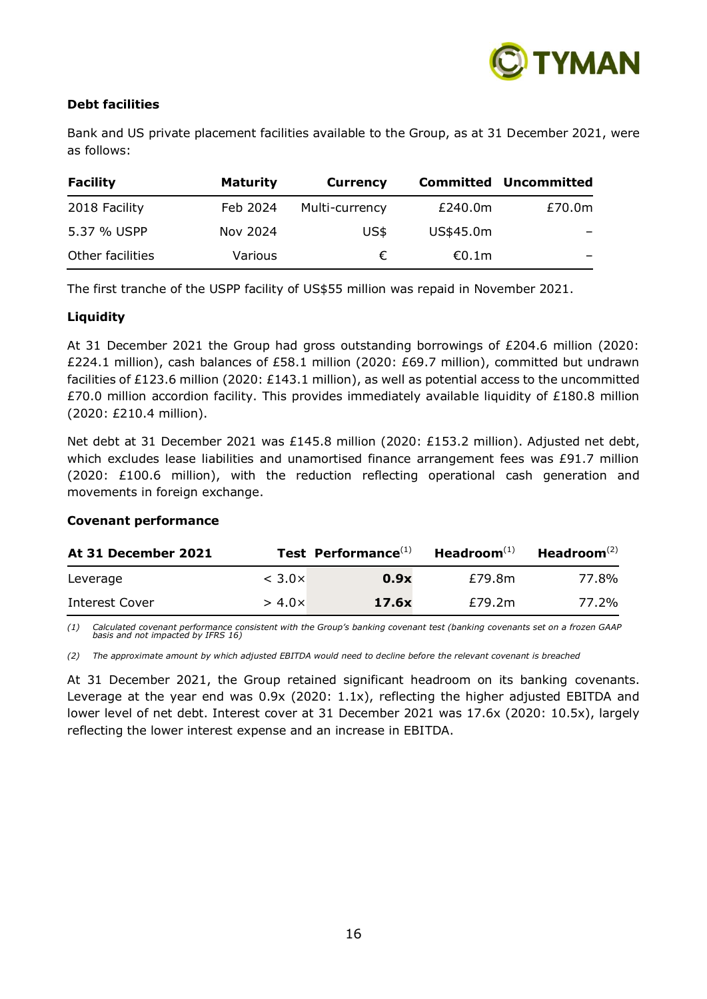

# **Debt facilities**

Bank and US private placement facilities available to the Group, as at 31 December 2021, were as follows:

| <b>Facility</b>  | <b>Maturity</b> | <b>Currency</b> |           | <b>Committed Uncommitted</b> |
|------------------|-----------------|-----------------|-----------|------------------------------|
| 2018 Facility    | Feb 2024        | Multi-currency  | £240.0m   | £70.0m                       |
| 5.37 % USPP      | Nov 2024        | US\$            | US\$45.0m |                              |
| Other facilities | Various         | $\epsilon$      | €0.1m     |                              |

The first tranche of the USPP facility of US\$55 million was repaid in November 2021.

# **Liquidity**

At 31 December 2021 the Group had gross outstanding borrowings of £204.6 million (2020: £224.1 million), cash balances of £58.1 million (2020: £69.7 million), committed but undrawn facilities of £123.6 million (2020: £143.1 million), as well as potential access to the uncommitted £70.0 million accordion facility. This provides immediately available liquidity of £180.8 million (2020: £210.4 million).

Net debt at 31 December 2021 was £145.8 million (2020: £153.2 million). Adjusted net debt, which excludes lease liabilities and unamortised finance arrangement fees was £91.7 million (2020: £100.6 million), with the reduction reflecting operational cash generation and movements in foreign exchange.

# **Covenant performance**

| At 31 December 2021 |                  | Test Performance <sup>(1)</sup> | $Headroom(1)$ | Headroom $(2)$ |
|---------------------|------------------|---------------------------------|---------------|----------------|
| Leverage            | $<$ 3.0 $\times$ | 0.9x                            | £79.8m        | 77.8%          |
| Interest Cover      | $> 4.0 \times$   | 17.6x                           | £79.2m        | 77.2%          |

*(1) Calculated covenant performance consistent with the Group's banking covenant test (banking covenants set on a frozen GAAP basis and not impacted by IFRS 16)*

*(2) The approximate amount by which adjusted EBITDA would need to decline before the relevant covenant is breached*

At 31 December 2021, the Group retained significant headroom on its banking covenants. Leverage at the year end was 0.9x (2020: 1.1x), reflecting the higher adjusted EBITDA and lower level of net debt. Interest cover at 31 December 2021 was 17.6x (2020: 10.5x), largely reflecting the lower interest expense and an increase in EBITDA.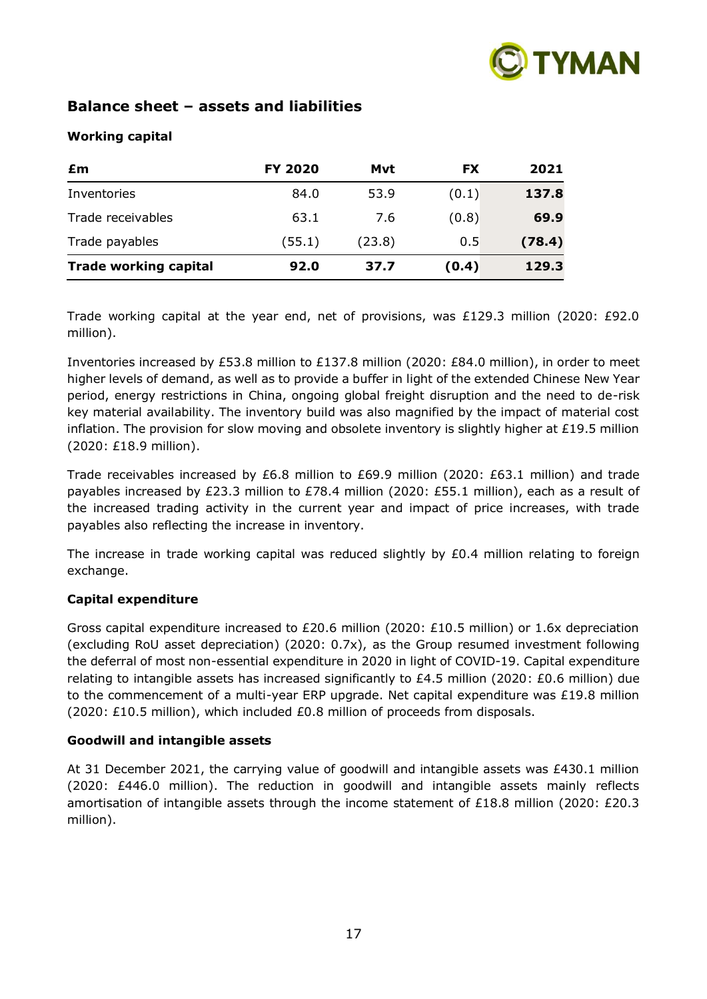

# **Balance sheet – assets and liabilities**

# **Working capital**

| £m                           | <b>FY 2020</b> | Mvt    | <b>FX</b> | 2021   |
|------------------------------|----------------|--------|-----------|--------|
| Inventories                  | 84.0           | 53.9   | (0.1)     | 137.8  |
| Trade receivables            | 63.1           | 7.6    | (0.8)     | 69.9   |
| Trade payables               | (55.1)         | (23.8) | 0.5       | (78.4) |
| <b>Trade working capital</b> | 92.0           | 37.7   | (0.4)     | 129.3  |

Trade working capital at the year end, net of provisions, was £129.3 million (2020: £92.0 million).

Inventories increased by £53.8 million to £137.8 million (2020: £84.0 million), in order to meet higher levels of demand, as well as to provide a buffer in light of the extended Chinese New Year period, energy restrictions in China, ongoing global freight disruption and the need to de-risk key material availability. The inventory build was also magnified by the impact of material cost inflation. The provision for slow moving and obsolete inventory is slightly higher at  $£19.5$  million (2020: £18.9 million).

Trade receivables increased by £6.8 million to £69.9 million (2020: £63.1 million) and trade payables increased by £23.3 million to £78.4 million (2020: £55.1 million), each as a result of the increased trading activity in the current year and impact of price increases, with trade payables also reflecting the increase in inventory.

The increase in trade working capital was reduced slightly by  $£0.4$  million relating to foreign exchange.

# **Capital expenditure**

Gross capital expenditure increased to £20.6 million (2020: £10.5 million) or 1.6x depreciation (excluding RoU asset depreciation) (2020: 0.7x), as the Group resumed investment following the deferral of most non-essential expenditure in 2020 in light of COVID-19. Capital expenditure relating to intangible assets has increased significantly to £4.5 million (2020: £0.6 million) due to the commencement of a multi-year ERP upgrade. Net capital expenditure was £19.8 million (2020: £10.5 million), which included £0.8 million of proceeds from disposals.

# **Goodwill and intangible assets**

At 31 December 2021, the carrying value of goodwill and intangible assets was £430.1 million (2020: £446.0 million). The reduction in goodwill and intangible assets mainly reflects amortisation of intangible assets through the income statement of £18.8 million (2020: £20.3 million).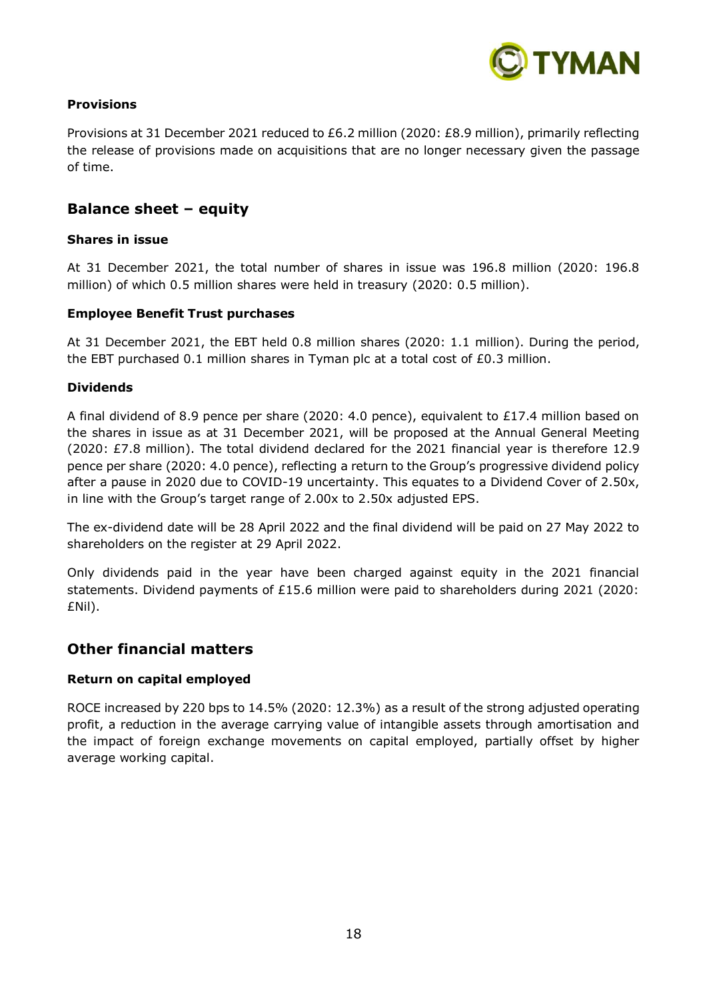

# **Provisions**

Provisions at 31 December 2021 reduced to £6.2 million (2020: £8.9 million), primarily reflecting the release of provisions made on acquisitions that are no longer necessary given the passage of time.

# **Balance sheet – equity**

# **Shares in issue**

At 31 December 2021, the total number of shares in issue was 196.8 million (2020: 196.8 million) of which 0.5 million shares were held in treasury (2020: 0.5 million).

#### **Employee Benefit Trust purchases**

At 31 December 2021, the EBT held 0.8 million shares (2020: 1.1 million). During the period, the EBT purchased 0.1 million shares in Tyman plc at a total cost of £0.3 million.

#### **Dividends**

A final dividend of 8.9 pence per share (2020: 4.0 pence), equivalent to £17.4 million based on the shares in issue as at 31 December 2021, will be proposed at the Annual General Meeting (2020: £7.8 million). The total dividend declared for the 2021 financial year is therefore 12.9 pence per share (2020: 4.0 pence), reflecting a return to the Group's progressive dividend policy after a pause in 2020 due to COVID-19 uncertainty. This equates to a Dividend Cover of 2.50x, in line with the Group's target range of 2.00x to 2.50x adjusted EPS.

The ex-dividend date will be 28 April 2022 and the final dividend will be paid on 27 May 2022 to shareholders on the register at 29 April 2022.

Only dividends paid in the year have been charged against equity in the 2021 financial statements. Dividend payments of £15.6 million were paid to shareholders during 2021 (2020: £Nil).

# **Other financial matters**

#### **Return on capital employed**

ROCE increased by 220 bps to 14.5% (2020: 12.3%) as a result of the strong adjusted operating profit, a reduction in the average carrying value of intangible assets through amortisation and the impact of foreign exchange movements on capital employed, partially offset by higher average working capital.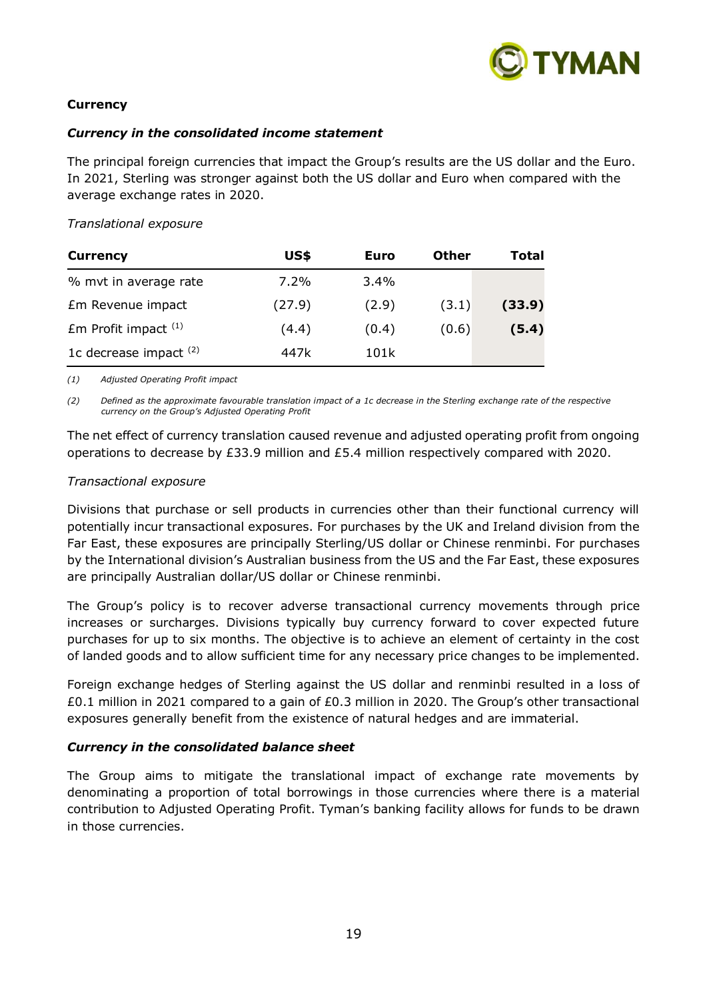

# **Currency**

#### *Currency in the consolidated income statement*

The principal foreign currencies that impact the Group's results are the US dollar and the Euro. In 2021, Sterling was stronger against both the US dollar and Euro when compared with the average exchange rates in 2020.

#### *Translational exposure*

| <b>Currency</b>          | US\$    | Euro    | Other | Total  |
|--------------------------|---------|---------|-------|--------|
| % mvt in average rate    | $7.2\%$ | $3.4\%$ |       |        |
| Em Revenue impact        | (27.9)  | (2.9)   | (3.1) | (33.9) |
| $Em$ Profit impact $(1)$ | (4.4)   | (0.4)   | (0.6) | (5.4)  |
| 1c decrease impact $(2)$ | 447k    | 101k    |       |        |

*(1) Adjusted Operating Profit impact*

*(2) Defined as the approximate favourable translation impact of a 1c decrease in the Sterling exchange rate of the respective currency on the Group's Adjusted Operating Profit*

The net effect of currency translation caused revenue and adjusted operating profit from ongoing operations to decrease by £33.9 million and £5.4 million respectively compared with 2020.

#### *Transactional exposure*

Divisions that purchase or sell products in currencies other than their functional currency will potentially incur transactional exposures. For purchases by the UK and Ireland division from the Far East, these exposures are principally Sterling/US dollar or Chinese renminbi. For purchases by the International division's Australian business from the US and the Far East, these exposures are principally Australian dollar/US dollar or Chinese renminbi.

The Group's policy is to recover adverse transactional currency movements through price increases or surcharges. Divisions typically buy currency forward to cover expected future purchases for up to six months. The objective is to achieve an element of certainty in the cost of landed goods and to allow sufficient time for any necessary price changes to be implemented.

Foreign exchange hedges of Sterling against the US dollar and renminbi resulted in a loss of £0.1 million in 2021 compared to a gain of £0.3 million in 2020. The Group's other transactional exposures generally benefit from the existence of natural hedges and are immaterial.

# *Currency in the consolidated balance sheet*

The Group aims to mitigate the translational impact of exchange rate movements by denominating a proportion of total borrowings in those currencies where there is a material contribution to Adjusted Operating Profit. Tyman's banking facility allows for funds to be drawn in those currencies.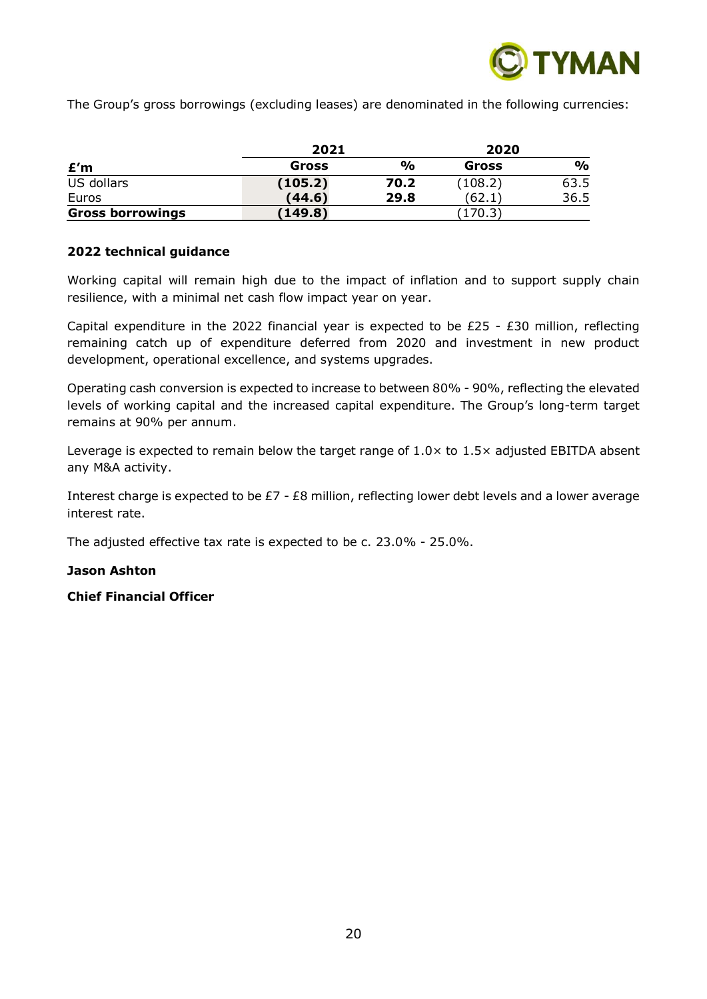

The Group's gross borrowings (excluding leases) are denominated in the following currencies:

|                         | 2021    |               | 2020    |               |
|-------------------------|---------|---------------|---------|---------------|
| £′m                     | Gross   | $\frac{0}{0}$ | Gross   | $\frac{1}{2}$ |
| US dollars              | (105.2) | 70.2          | (108.2) | 63.5          |
| Euros                   | (44.6)  | 29.8          | (62.1)  | 36.5          |
| <b>Gross borrowings</b> | (149.8) |               | 170.3   |               |

# **2022 technical guidance**

Working capital will remain high due to the impact of inflation and to support supply chain resilience, with a minimal net cash flow impact year on year.

Capital expenditure in the 2022 financial year is expected to be  $E25 - E30$  million, reflecting remaining catch up of expenditure deferred from 2020 and investment in new product development, operational excellence, and systems upgrades.

Operating cash conversion is expected to increase to between 80% - 90%, reflecting the elevated levels of working capital and the increased capital expenditure. The Group's long-term target remains at 90% per annum.

Leverage is expected to remain below the target range of  $1.0\times$  to  $1.5\times$  adjusted EBITDA absent any M&A activity.

Interest charge is expected to be £7 - £8 million, reflecting lower debt levels and a lower average interest rate.

The adjusted effective tax rate is expected to be c. 23.0% - 25.0%.

# **Jason Ashton**

**Chief Financial Officer**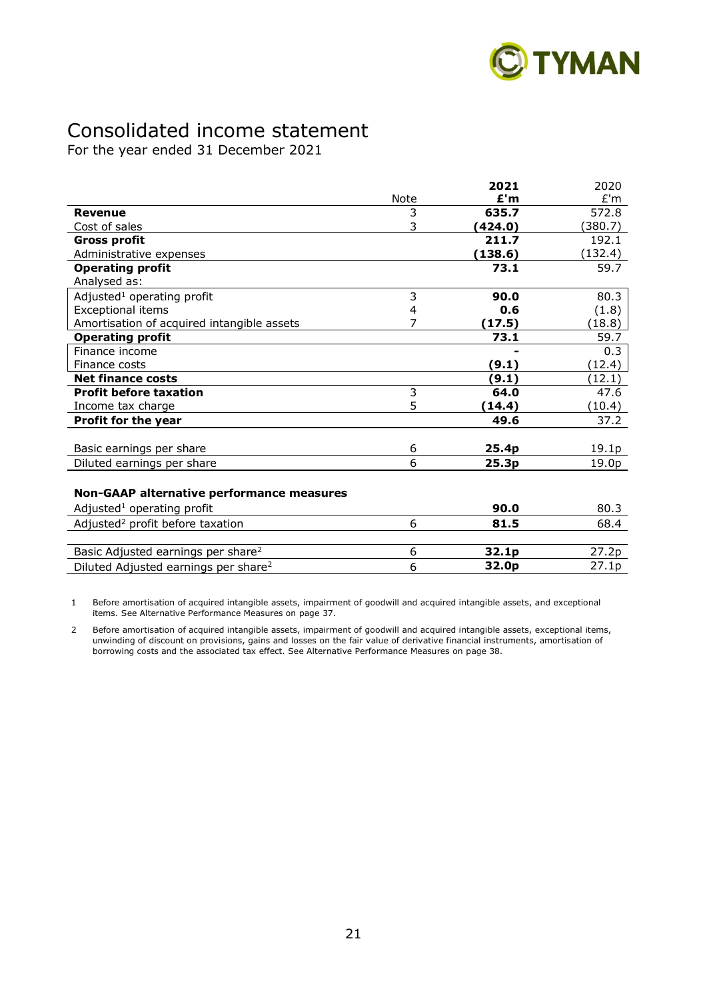

# Consolidated income statement

For the year ended 31 December 2021

|                                                  |      | 2021    | 2020    |
|--------------------------------------------------|------|---------|---------|
|                                                  | Note | E'm     | E'm     |
| <b>Revenue</b>                                   | 3    | 635.7   | 572.8   |
| Cost of sales                                    | 3    | (424.0) | (380.7) |
| <b>Gross profit</b>                              |      | 211.7   | 192.1   |
| Administrative expenses                          |      | (138.6) | (132.4) |
| <b>Operating profit</b>                          |      | 73.1    | 59.7    |
| Analysed as:                                     |      |         |         |
| Adjusted <sup>1</sup> operating profit           | 3    | 90.0    | 80.3    |
| <b>Exceptional items</b>                         | 4    | 0.6     | (1.8)   |
| Amortisation of acquired intangible assets       | 7    | (17.5)  | (18.8)  |
| <b>Operating profit</b>                          |      | 73.1    | 59.7    |
| Finance income                                   |      |         | 0.3     |
| Finance costs                                    |      | (9.1)   | (12.4)  |
| <b>Net finance costs</b>                         |      | (9.1)   | (12.1)  |
| <b>Profit before taxation</b>                    | 3    | 64.0    | 47.6    |
| Income tax charge                                | 5    | (14.4)  | (10.4)  |
| Profit for the year                              |      | 49.6    | 37.2    |
|                                                  |      |         |         |
| Basic earnings per share                         | 6    | 25.4p   | 19.1p   |
| Diluted earnings per share                       | 6    | 25.3p   | 19.0p   |
|                                                  |      |         |         |
| Non-GAAP alternative performance measures        |      |         |         |
| Adjusted <sup>1</sup> operating profit           |      | 90.0    | 80.3    |
| Adjusted <sup>2</sup> profit before taxation     | 6    | 81.5    | 68.4    |
|                                                  |      |         |         |
| Basic Adjusted earnings per share <sup>2</sup>   | 6    | 32.1p   | 27.2p   |
| Diluted Adjusted earnings per share <sup>2</sup> | 6    | 32.0p   | 27.1p   |

1 Before amortisation of acquired intangible assets, impairment of goodwill and acquired intangible assets, and exceptional items. See Alternative Performance Measures on page 37.

2 Before amortisation of acquired intangible assets, impairment of goodwill and acquired intangible assets, exceptional items, unwinding of discount on provisions, gains and losses on the fair value of derivative financial instruments, amortisation of borrowing costs and the associated tax effect. See Alternative Performance Measures on page 38.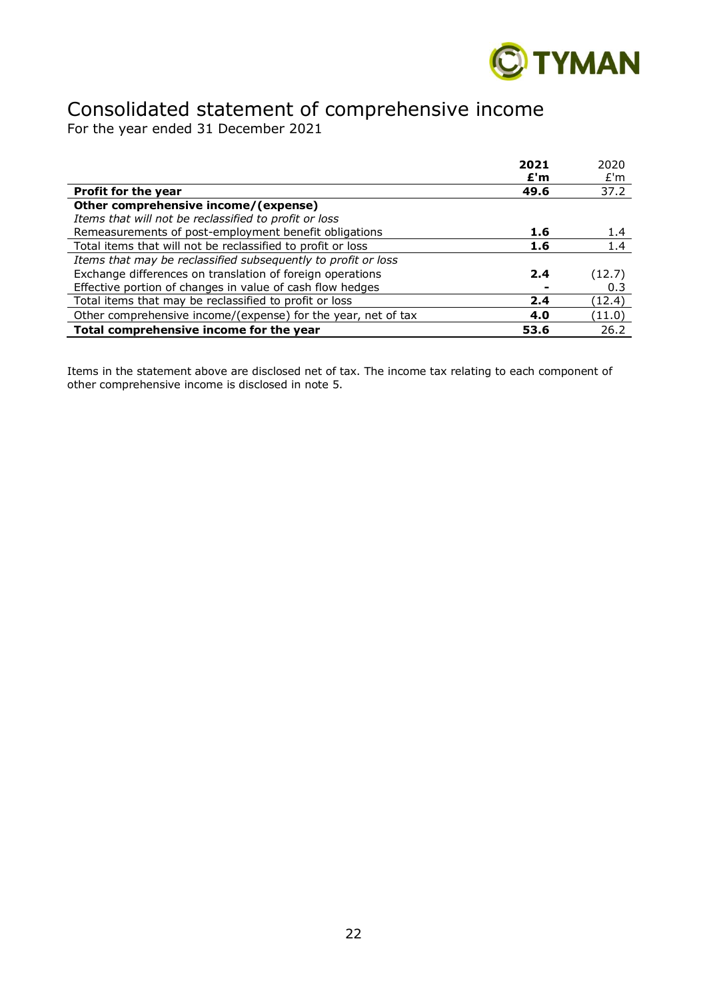

# Consolidated statement of comprehensive income

For the year ended 31 December 2021

|                                                               | 2021 | 2020   |
|---------------------------------------------------------------|------|--------|
|                                                               | E'm  | E'm    |
| Profit for the year                                           | 49.6 | 37.2   |
| Other comprehensive income/(expense)                          |      |        |
| Items that will not be reclassified to profit or loss         |      |        |
| Remeasurements of post-employment benefit obligations         | 1.6  | 1.4    |
| Total items that will not be reclassified to profit or loss   | 1.6  | 1.4    |
| Items that may be reclassified subsequently to profit or loss |      |        |
| Exchange differences on translation of foreign operations     | 2.4  | (12.7) |
| Effective portion of changes in value of cash flow hedges     |      | 0.3    |
| Total items that may be reclassified to profit or loss        | 2.4  | (12.4) |
| Other comprehensive income/(expense) for the year, net of tax | 4.0  | (11.0) |
| Total comprehensive income for the year                       | 53.6 | 26.2   |

Items in the statement above are disclosed net of tax. The income tax relating to each component of other comprehensive income is disclosed in note 5.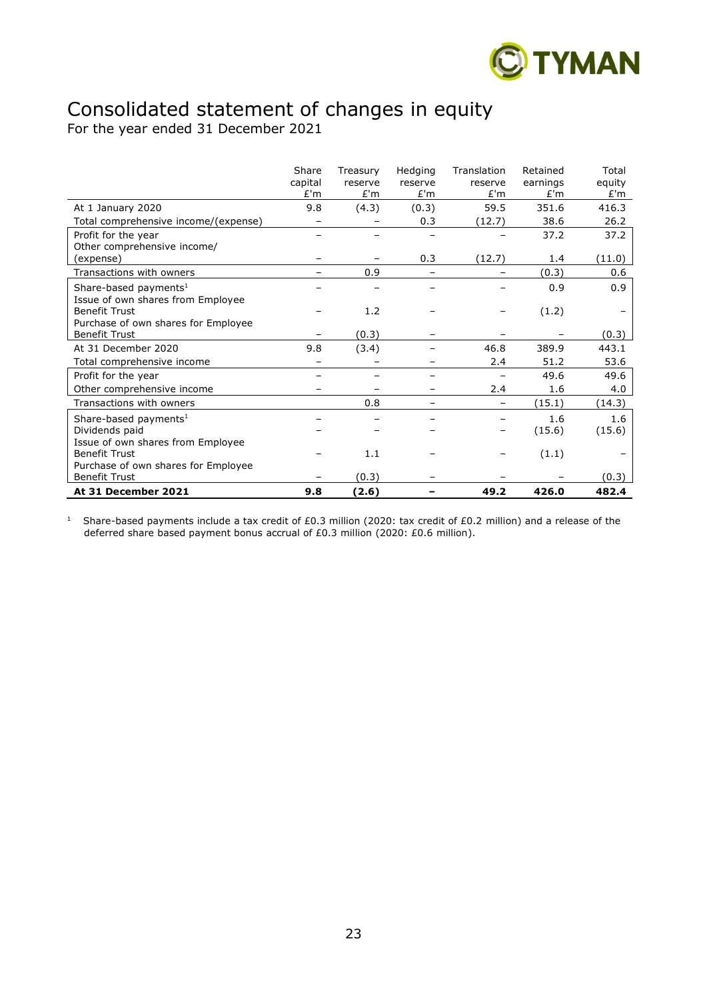

# Consolidated statement of changes in equity

For the year ended 31 December 2021

|                                      | Share<br>capital | Treasury<br>reserve | Hedging<br>reserve | Translation<br>reserve | Retained<br>earnings | Total<br>equity |
|--------------------------------------|------------------|---------------------|--------------------|------------------------|----------------------|-----------------|
|                                      | E'm              | E'm                 | E'm                | E'm                    | E'm                  | £'m             |
| At 1 January 2020                    | 9.8              | (4.3)               | (0.3)              | 59.5                   | 351.6                | 416.3           |
| Total comprehensive income/(expense) |                  |                     | 0.3                | (12.7)                 | 38.6                 | 26.2            |
| Profit for the year                  |                  |                     |                    |                        | 37.2                 | 37.2            |
| Other comprehensive income/          |                  |                     |                    |                        |                      |                 |
| (expense)                            |                  |                     | 0.3                | (12.7)                 | 1.4                  | (11.0)          |
| Transactions with owners             |                  | 0.9                 |                    |                        | (0.3)                | 0.6             |
| Share-based payments <sup>1</sup>    |                  |                     |                    |                        | 0.9                  | 0.9             |
| Issue of own shares from Employee    |                  |                     |                    |                        |                      |                 |
| <b>Benefit Trust</b>                 |                  | 1.2                 |                    |                        | (1.2)                |                 |
| Purchase of own shares for Employee  |                  |                     |                    |                        |                      |                 |
| <b>Benefit Trust</b>                 |                  | (0.3)               |                    |                        |                      | (0.3)           |
| At 31 December 2020                  | 9.8              | (3.4)               |                    | 46.8                   | 389.9                | 443.1           |
| Total comprehensive income           |                  |                     |                    | 2.4                    | 51.2                 | 53.6            |
| Profit for the year                  |                  |                     |                    |                        | 49.6                 | 49.6            |
| Other comprehensive income           |                  |                     |                    | 2.4                    | 1.6                  | 4.0             |
| Transactions with owners             |                  | 0.8                 |                    |                        | (15.1)               | (14.3)          |
| Share-based payments <sup>1</sup>    |                  |                     |                    |                        | 1.6                  | 1.6             |
| Dividends paid                       |                  |                     |                    |                        | (15.6)               | (15.6)          |
| Issue of own shares from Employee    |                  |                     |                    |                        |                      |                 |
| <b>Benefit Trust</b>                 |                  | 1.1                 |                    |                        | (1.1)                |                 |
| Purchase of own shares for Employee  |                  |                     |                    |                        |                      |                 |
| <b>Benefit Trust</b>                 |                  | (0.3)               |                    |                        |                      | (0.3)           |
| At 31 December 2021                  | 9.8              | (2.6)               |                    | 49.2                   | 426.0                | 482.4           |

<sup>1</sup> Share-based payments include a tax credit of £0.3 million (2020: tax credit of £0.2 million) and a release of the deferred share based payment bonus accrual of  $E0.3$  million (2020:  $E0.6$  million).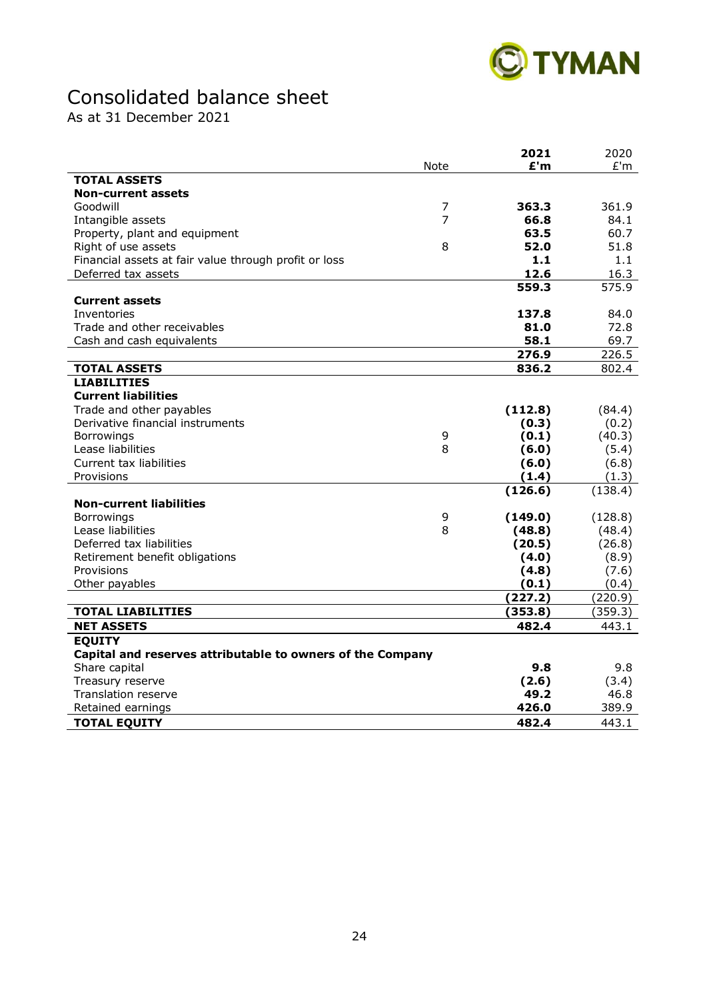

# Consolidated balance sheet

As at 31 December 2021

|                                                            |                | 2021    | 2020    |
|------------------------------------------------------------|----------------|---------|---------|
|                                                            | <b>Note</b>    | £'m     | E'm     |
| <b>TOTAL ASSETS</b>                                        |                |         |         |
| <b>Non-current assets</b>                                  |                |         |         |
| Goodwill                                                   | $\overline{7}$ | 363.3   | 361.9   |
| Intangible assets                                          | 7              | 66.8    | 84.1    |
| Property, plant and equipment                              |                | 63.5    | 60.7    |
| Right of use assets                                        | 8              | 52.0    | 51.8    |
| Financial assets at fair value through profit or loss      |                | 1.1     | 1.1     |
| Deferred tax assets                                        |                | 12.6    | 16.3    |
|                                                            |                | 559.3   | 575.9   |
| <b>Current assets</b>                                      |                |         |         |
| Inventories                                                |                | 137.8   | 84.0    |
| Trade and other receivables                                |                | 81.0    | 72.8    |
| Cash and cash equivalents                                  |                | 58.1    | 69.7    |
|                                                            |                | 276.9   | 226.5   |
| <b>TOTAL ASSETS</b>                                        |                | 836.2   | 802.4   |
| <b>LIABILITIES</b>                                         |                |         |         |
| <b>Current liabilities</b>                                 |                |         |         |
| Trade and other payables                                   |                | (112.8) | (84.4)  |
| Derivative financial instruments                           |                | (0.3)   | (0.2)   |
| Borrowings                                                 | 9              | (0.1)   | (40.3)  |
| Lease liabilities                                          | 8              | (6.0)   | (5.4)   |
| Current tax liabilities                                    |                | (6.0)   | (6.8)   |
| Provisions                                                 |                | (1.4)   | (1.3)   |
|                                                            |                | (126.6) | (138.4) |
| <b>Non-current liabilities</b>                             |                |         |         |
| <b>Borrowings</b>                                          | 9              | (149.0) | (128.8) |
| Lease liabilities                                          | 8              | (48.8)  | (48.4)  |
| Deferred tax liabilities                                   |                | (20.5)  | (26.8)  |
| Retirement benefit obligations                             |                | (4.0)   | (8.9)   |
| Provisions                                                 |                | (4.8)   | (7.6)   |
| Other payables                                             |                | (0.1)   | (0.4)   |
|                                                            |                | (227.2) | (220.9) |
| <b>TOTAL LIABILITIES</b>                                   |                | (353.8) | (359.3) |
| <b>NET ASSETS</b>                                          |                | 482.4   | 443.1   |
| <b>EOUITY</b>                                              |                |         |         |
| Capital and reserves attributable to owners of the Company |                |         |         |
| Share capital                                              |                | 9.8     | 9.8     |
| Treasury reserve                                           |                | (2.6)   | (3.4)   |
| Translation reserve                                        |                | 49.2    | 46.8    |
| Retained earnings                                          |                | 426.0   | 389.9   |
| <b>TOTAL EQUITY</b>                                        |                | 482.4   | 443.1   |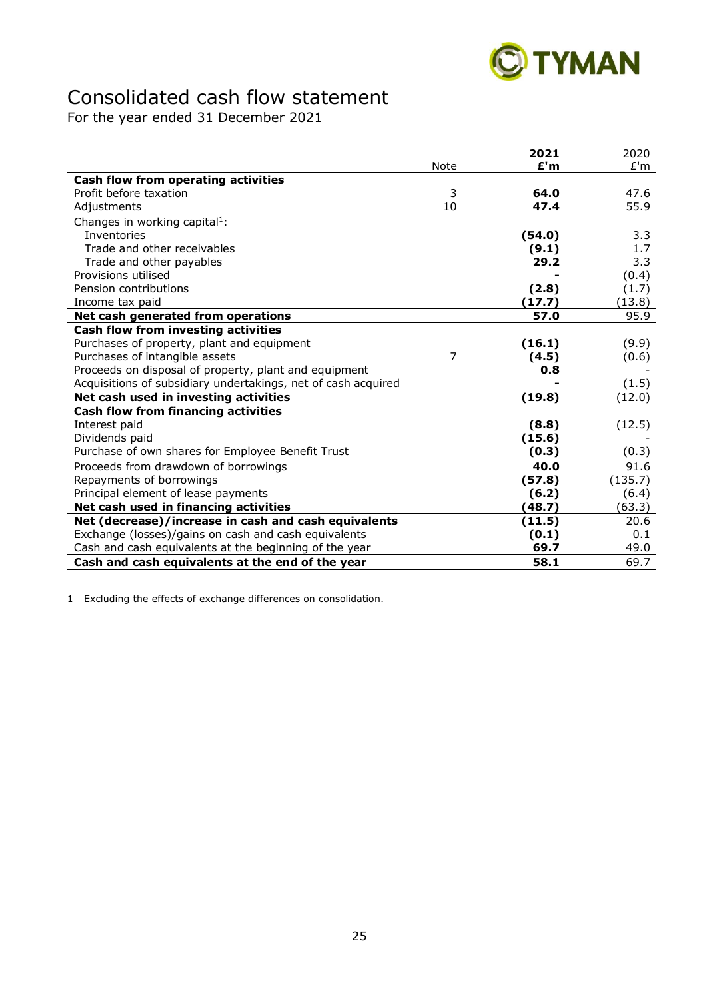

# Consolidated cash flow statement

For the year ended 31 December 2021

|                                                               |                | 2021   | 2020             |
|---------------------------------------------------------------|----------------|--------|------------------|
|                                                               | Note           | E'm    | E'm              |
| Cash flow from operating activities                           |                |        |                  |
| Profit before taxation                                        | 3              | 64.0   | 47.6             |
| Adjustments                                                   | 10             | 47.4   | 55.9             |
| Changes in working capital <sup>1</sup> :                     |                |        |                  |
| Inventories                                                   |                | (54.0) | 3.3              |
| Trade and other receivables                                   |                | (9.1)  | 1.7 <sub>2</sub> |
| Trade and other payables                                      |                | 29.2   | 3.3              |
| Provisions utilised                                           |                |        | (0.4)            |
| Pension contributions                                         |                | (2.8)  | (1.7)            |
| Income tax paid                                               |                | (17.7) | (13.8)           |
| Net cash generated from operations                            |                | 57.0   | 95.9             |
| Cash flow from investing activities                           |                |        |                  |
| Purchases of property, plant and equipment                    |                | (16.1) | (9.9)            |
| Purchases of intangible assets                                | $\overline{7}$ | (4.5)  | (0.6)            |
| Proceeds on disposal of property, plant and equipment         |                | 0.8    |                  |
| Acquisitions of subsidiary undertakings, net of cash acquired |                |        | (1.5)            |
| Net cash used in investing activities                         |                | (19.8) | (12.0)           |
| <b>Cash flow from financing activities</b>                    |                |        |                  |
| Interest paid                                                 |                | (8.8)  | (12.5)           |
| Dividends paid                                                |                | (15.6) |                  |
| Purchase of own shares for Employee Benefit Trust             |                | (0.3)  | (0.3)            |
| Proceeds from drawdown of borrowings                          |                | 40.0   | 91.6             |
| Repayments of borrowings                                      |                | (57.8) | (135.7)          |
| Principal element of lease payments                           |                | (6.2)  | (6.4)            |
| Net cash used in financing activities                         |                | (48.7) | (63.3)           |
| Net (decrease)/increase in cash and cash equivalents          |                | (11.5) | 20.6             |
| Exchange (losses)/gains on cash and cash equivalents          |                | (0.1)  | 0.1              |
| Cash and cash equivalents at the beginning of the year        |                | 69.7   | 49.0             |
| Cash and cash equivalents at the end of the year              |                | 58.1   | 69.7             |

1 Excluding the effects of exchange differences on consolidation.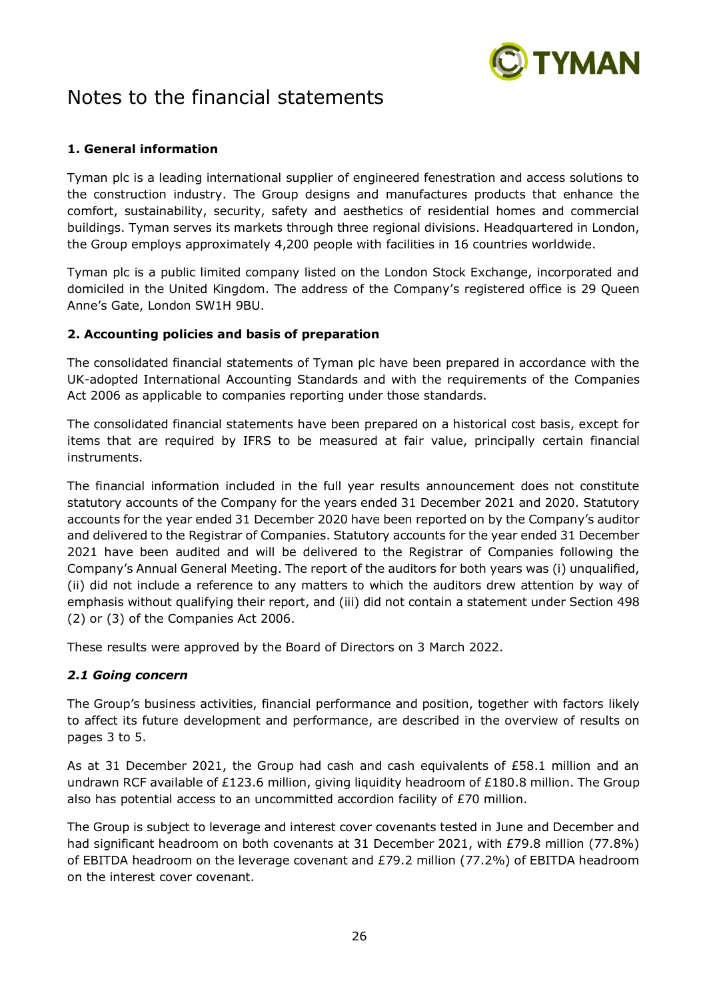

# Notes to the financial statements

# **1. General information**

Tyman plc is a leading international supplier of engineered fenestration and access solutions to the construction industry. The Group designs and manufactures products that enhance the comfort, sustainability, security, safety and aesthetics of residential homes and commercial buildings. Tyman serves its markets through three regional divisions. Headquartered in London, the Group employs approximately 4,200 people with facilities in 16 countries worldwide.

Tyman plc is a public limited company listed on the London Stock Exchange, incorporated and domiciled in the United Kingdom. The address of the Company's registered office is 29 Queen Anne's Gate, London SW1H 9BU.

# **2. Accounting policies and basis of preparation**

The consolidated financial statements of Tyman plc have been prepared in accordance with the UK-adopted International Accounting Standards and with the requirements of the Companies Act 2006 as applicable to companies reporting under those standards.

The consolidated financial statements have been prepared on a historical cost basis, except for items that are required by IFRS to be measured at fair value, principally certain financial instruments.

The financial information included in the full year results announcement does not constitute statutory accounts of the Company for the years ended 31 December 2021 and 2020. Statutory accounts for the year ended 31 December 2020 have been reported on by the Company's auditor and delivered to the Registrar of Companies. Statutory accounts for the year ended 31 December 2021 have been audited and will be delivered to the Registrar of Companies following the Company's Annual General Meeting. The report of the auditors for both years was (i) unqualified, (ii) did not include a reference to any matters to which the auditors drew attention by way of emphasis without qualifying their report, and (iii) did not contain a statement under Section 498 (2) or (3) of the Companies Act 2006.

These results were approved by the Board of Directors on 3 March 2022.

# *2.1 Going concern*

The Group's business activities, financial performance and position, together with factors likely to affect its future development and performance, are described in the overview of results on pages 3 to 5.

As at 31 December 2021, the Group had cash and cash equivalents of £58.1 million and an undrawn RCF available of £123.6 million, giving liquidity headroom of £180.8 million. The Group also has potential access to an uncommitted accordion facility of  $E70$  million.

The Group is subject to leverage and interest cover covenants tested in June and December and had significant headroom on both covenants at 31 December 2021, with £79.8 million (77.8%) of EBITDA headroom on the leverage covenant and £79.2 million (77.2%) of EBITDA headroom on the interest cover covenant.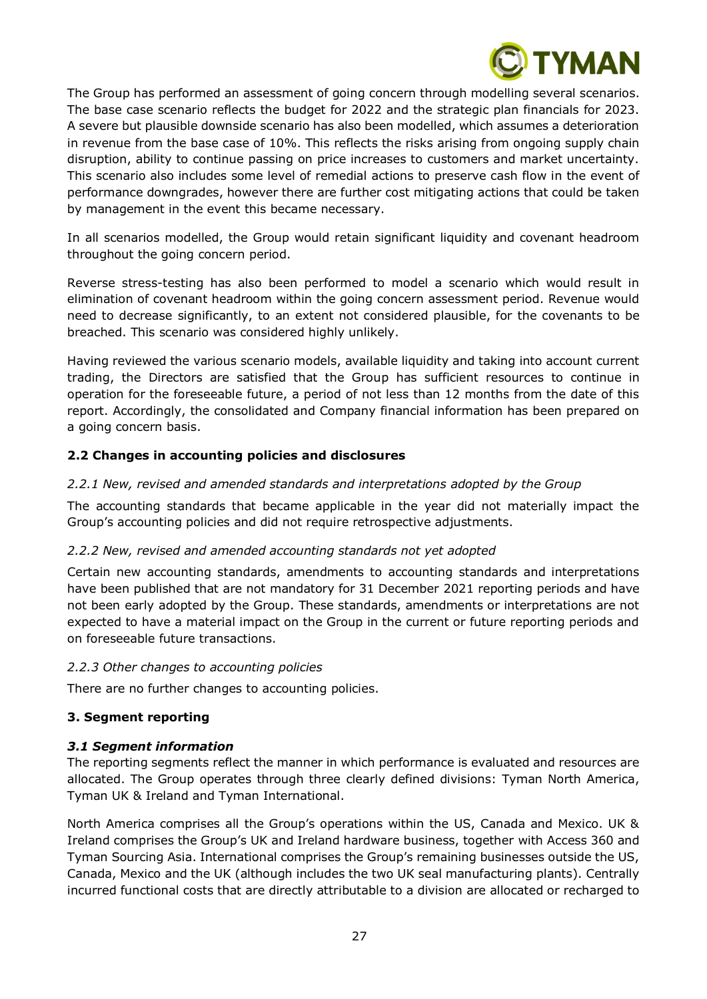

The Group has performed an assessment of going concern through modelling several scenarios. The base case scenario reflects the budget for 2022 and the strategic plan financials for 2023. A severe but plausible downside scenario has also been modelled, which assumes a deterioration in revenue from the base case of 10%. This reflects the risks arising from ongoing supply chain disruption, ability to continue passing on price increases to customers and market uncertainty. This scenario also includes some level of remedial actions to preserve cash flow in the event of performance downgrades, however there are further cost mitigating actions that could be taken by management in the event this became necessary.

In all scenarios modelled, the Group would retain significant liquidity and covenant headroom throughout the going concern period.

Reverse stress-testing has also been performed to model a scenario which would result in elimination of covenant headroom within the going concern assessment period. Revenue would need to decrease significantly, to an extent not considered plausible, for the covenants to be breached. This scenario was considered highly unlikely.

Having reviewed the various scenario models, available liquidity and taking into account current trading, the Directors are satisfied that the Group has sufficient resources to continue in operation for the foreseeable future, a period of not less than 12 months from the date of this report. Accordingly, the consolidated and Company financial information has been prepared on a going concern basis.

# **2.2 Changes in accounting policies and disclosures**

# *2.2.1 New, revised and amended standards and interpretations adopted by the Group*

The accounting standards that became applicable in the year did not materially impact the Group's accounting policies and did not require retrospective adjustments.

# *2.2.2 New, revised and amended accounting standards not yet adopted*

Certain new accounting standards, amendments to accounting standards and interpretations have been published that are not mandatory for 31 December 2021 reporting periods and have not been early adopted by the Group. These standards, amendments or interpretations are not expected to have a material impact on the Group in the current or future reporting periods and on foreseeable future transactions.

# *2.2.3 Other changes to accounting policies*

There are no further changes to accounting policies.

# **3. Segment reporting**

# *3.1 Segment information*

The reporting segments reflect the manner in which performance is evaluated and resources are allocated. The Group operates through three clearly defined divisions: Tyman North America, Tyman UK & Ireland and Tyman International.

North America comprises all the Group's operations within the US, Canada and Mexico. UK & Ireland comprises the Group's UK and Ireland hardware business, together with Access 360 and Tyman Sourcing Asia. International comprises the Group's remaining businesses outside the US, Canada, Mexico and the UK (although includes the two UK seal manufacturing plants). Centrally incurred functional costs that are directly attributable to a division are allocated or recharged to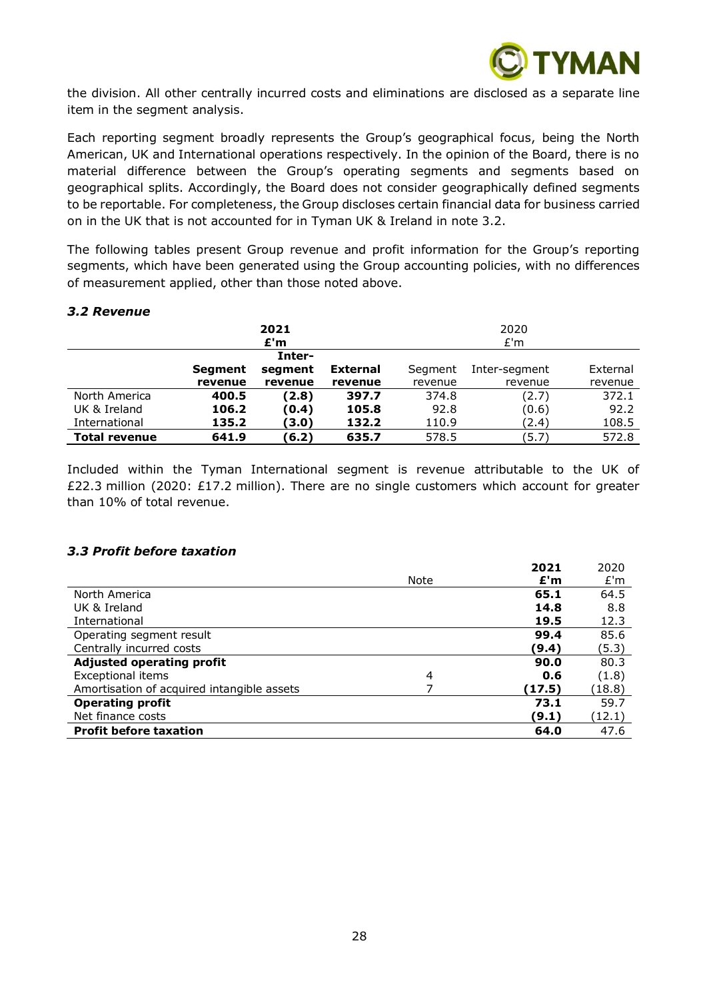

the division. All other centrally incurred costs and eliminations are disclosed as a separate line item in the segment analysis.

Each reporting segment broadly represents the Group's geographical focus, being the North American, UK and International operations respectively. In the opinion of the Board, there is no material difference between the Group's operating segments and segments based on geographical splits. Accordingly, the Board does not consider geographically defined segments to be reportable. For completeness, the Group discloses certain financial data for business carried on in the UK that is not accounted for in Tyman UK & Ireland in note 3.2.

The following tables present Group revenue and profit information for the Group's reporting segments, which have been generated using the Group accounting policies, with no differences of measurement applied, other than those noted above.

#### *3.2 Revenue*

| 2021<br>E'm          |         |         | 2020<br>E'm     |         |               |          |
|----------------------|---------|---------|-----------------|---------|---------------|----------|
|                      |         | Inter-  |                 |         |               |          |
|                      | Segment | segment | <b>External</b> | Segment | Inter-segment | External |
|                      | revenue | revenue | revenue         | revenue | revenue       | revenue  |
| North America        | 400.5   | (2.8)   | 397.7           | 374.8   | (2.7)         | 372.1    |
| UK & Ireland         | 106.2   | (0.4)   | 105.8           | 92.8    | (0.6)         | 92.2     |
| International        | 135.2   | (3.0)   | 132.2           | 110.9   | (2.4)         | 108.5    |
| <b>Total revenue</b> | 641.9   | (6.2)   | 635.7           | 578.5   | (5.7)         | 572.8    |

Included within the Tyman International segment is revenue attributable to the UK of £22.3 million (2020: £17.2 million). There are no single customers which account for greater than 10% of total revenue.

#### *3.3 Profit before taxation*

|                                            |      | 2021   | 2020   |
|--------------------------------------------|------|--------|--------|
|                                            | Note | E'm    | E'm    |
| North America                              |      | 65.1   | 64.5   |
| UK & Ireland                               |      | 14.8   | 8.8    |
| International                              |      | 19.5   | 12.3   |
| Operating segment result                   |      | 99.4   | 85.6   |
| Centrally incurred costs                   |      | (9.4)  | (5.3)  |
| <b>Adjusted operating profit</b>           |      | 90.0   | 80.3   |
| <b>Exceptional items</b>                   | 4    | 0.6    | (1.8)  |
| Amortisation of acquired intangible assets |      | (17.5) | (18.8) |
| <b>Operating profit</b>                    |      | 73.1   | 59.7   |
| Net finance costs                          |      | (9.1)  | (12.1) |
| <b>Profit before taxation</b>              |      | 64.0   | 47.6   |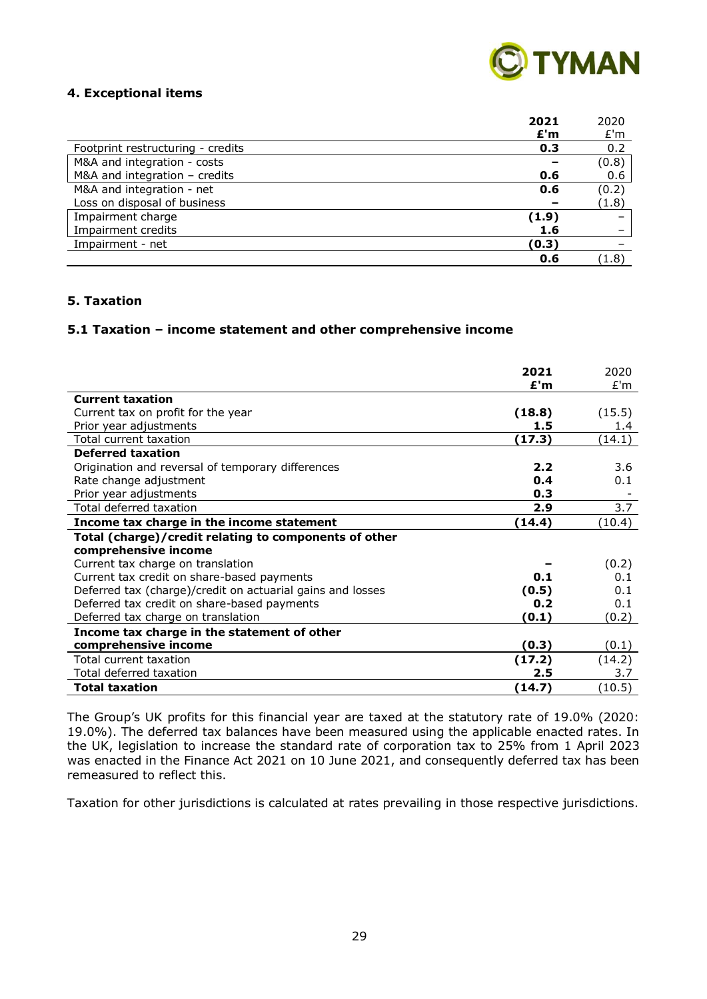

#### **4. Exceptional items**

| 2021                                     | 2020                |
|------------------------------------------|---------------------|
| E'm                                      | E'm                 |
| Footprint restructuring - credits<br>0.3 | 0.2                 |
| M&A and integration - costs              | (0.8)               |
| M&A and integration - credits<br>0.6     | 0.6                 |
| M&A and integration - net<br>0.6         | (0.2)               |
| Loss on disposal of business             | (1.8)               |
| Impairment charge<br>(1.9)               |                     |
| Impairment credits<br>1.6                |                     |
| Impairment - net<br>(0.3)                |                     |
| 0.6                                      | $\left( 1.8\right)$ |

# **5. Taxation**

#### **5.1 Taxation – income statement and other comprehensive income**

|                                                            | 2021<br>£'m | 2020<br>E'm |
|------------------------------------------------------------|-------------|-------------|
| <b>Current taxation</b>                                    |             |             |
| Current tax on profit for the year                         | (18.8)      | (15.5)      |
| Prior year adjustments                                     | 1.5         | 1.4         |
| Total current taxation                                     | (17.3)      | (14.1)      |
| <b>Deferred taxation</b>                                   |             |             |
| Origination and reversal of temporary differences          | 2.2         | 3.6         |
| Rate change adjustment                                     | 0.4         | 0.1         |
| Prior year adjustments                                     | 0.3         |             |
| Total deferred taxation                                    | 2.9         | 3.7         |
| Income tax charge in the income statement                  | (14.4)      | (10.4)      |
| Total (charge)/credit relating to components of other      |             |             |
| comprehensive income                                       |             |             |
| Current tax charge on translation                          |             | (0.2)       |
| Current tax credit on share-based payments                 | 0.1         | 0.1         |
| Deferred tax (charge)/credit on actuarial gains and losses | (0.5)       | 0.1         |
| Deferred tax credit on share-based payments                | 0.2         | 0.1         |
| Deferred tax charge on translation                         | (0.1)       | (0.2)       |
| Income tax charge in the statement of other                |             |             |
| comprehensive income                                       | (0.3)       | (0.1)       |
| Total current taxation                                     | (17.2)      | (14.2)      |
| Total deferred taxation                                    | 2.5         | 3.7         |
| <b>Total taxation</b>                                      | (14.7)      | (10.5)      |

The Group's UK profits for this financial year are taxed at the statutory rate of 19.0% (2020: 19.0%). The deferred tax balances have been measured using the applicable enacted rates. In the UK, legislation to increase the standard rate of corporation tax to 25% from 1 April 2023 was enacted in the Finance Act 2021 on 10 June 2021, and consequently deferred tax has been remeasured to reflect this.

Taxation for other jurisdictions is calculated at rates prevailing in those respective jurisdictions.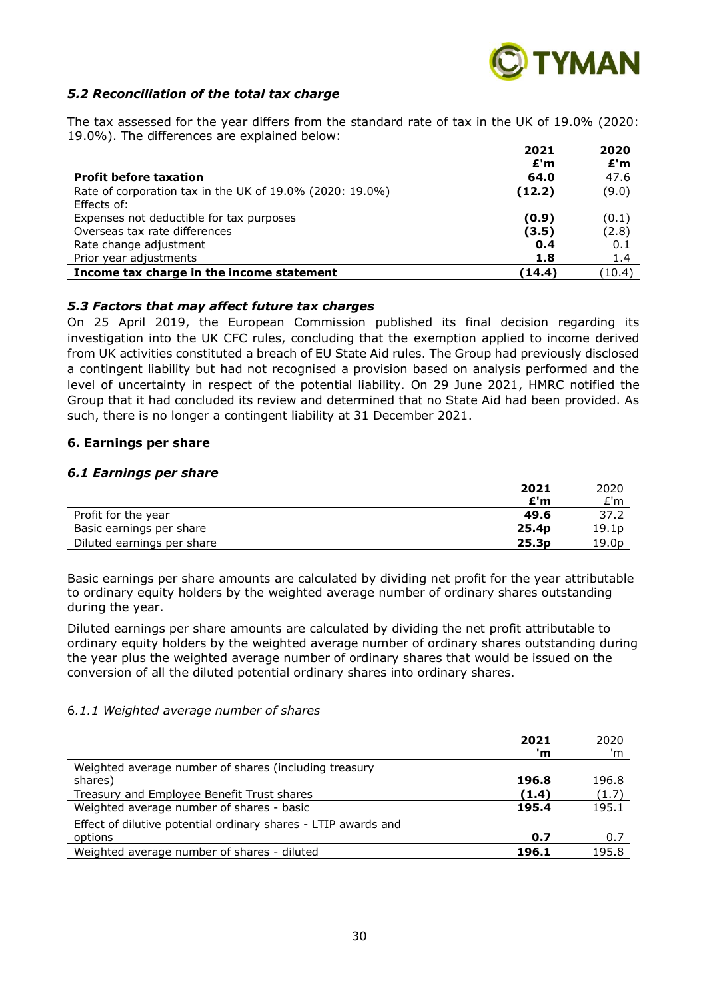

#### *5.2 Reconciliation of the total tax charge*

The tax assessed for the year differs from the standard rate of tax in the UK of 19.0% (2020: 19.0%). The differences are explained below: **2021 2020**

|                                                          | 2021   | 2020   |
|----------------------------------------------------------|--------|--------|
|                                                          | £'m    | £'m    |
| <b>Profit before taxation</b>                            | 64.0   | 47.6   |
| Rate of corporation tax in the UK of 19.0% (2020: 19.0%) | (12.2) | (9.0)  |
| Effects of:                                              |        |        |
| Expenses not deductible for tax purposes                 | (0.9)  | (0.1)  |
| Overseas tax rate differences                            | (3.5)  | (2.8)  |
| Rate change adjustment                                   | 0.4    | 0.1    |
| Prior year adjustments                                   | 1.8    | 1.4    |
| Income tax charge in the income statement                | (14.4) | (10.4) |

#### *5.3 Factors that may affect future tax charges*

On 25 April 2019, the European Commission published its final decision regarding its investigation into the UK CFC rules, concluding that the exemption applied to income derived from UK activities constituted a breach of EU State Aid rules. The Group had previously disclosed a contingent liability but had not recognised a provision based on analysis performed and the level of uncertainty in respect of the potential liability. On 29 June 2021, HMRC notified the Group that it had concluded its review and determined that no State Aid had been provided. As such, there is no longer a contingent liability at 31 December 2021.

#### **6. Earnings per share**

#### *6.1 Earnings per share*

|                            | 2021              | 2020              |
|----------------------------|-------------------|-------------------|
|                            | £'m               | £'m               |
| Profit for the year        | 49.6              | 37.2              |
| Basic earnings per share   | 25.4 <sub>p</sub> | 19.1 <sub>p</sub> |
| Diluted earnings per share | 25.3 <sub>p</sub> | 19.0p             |

Basic earnings per share amounts are calculated by dividing net profit for the year attributable to ordinary equity holders by the weighted average number of ordinary shares outstanding during the year.

Diluted earnings per share amounts are calculated by dividing the net profit attributable to ordinary equity holders by the weighted average number of ordinary shares outstanding during the year plus the weighted average number of ordinary shares that would be issued on the conversion of all the diluted potential ordinary shares into ordinary shares.

#### 6*.1.1 Weighted average number of shares*

|                                                                | 2021<br>'n | 2020<br>'m |
|----------------------------------------------------------------|------------|------------|
| Weighted average number of shares (including treasury          |            |            |
| shares)                                                        | 196.8      | 196.8      |
| Treasury and Employee Benefit Trust shares                     | (1.4)      | (1.7)      |
| Weighted average number of shares - basic                      | 195.4      | 195.1      |
| Effect of dilutive potential ordinary shares - LTIP awards and |            |            |
| options                                                        | 0.7        | 0.7        |
| Weighted average number of shares - diluted                    | 196.1      | 195.8      |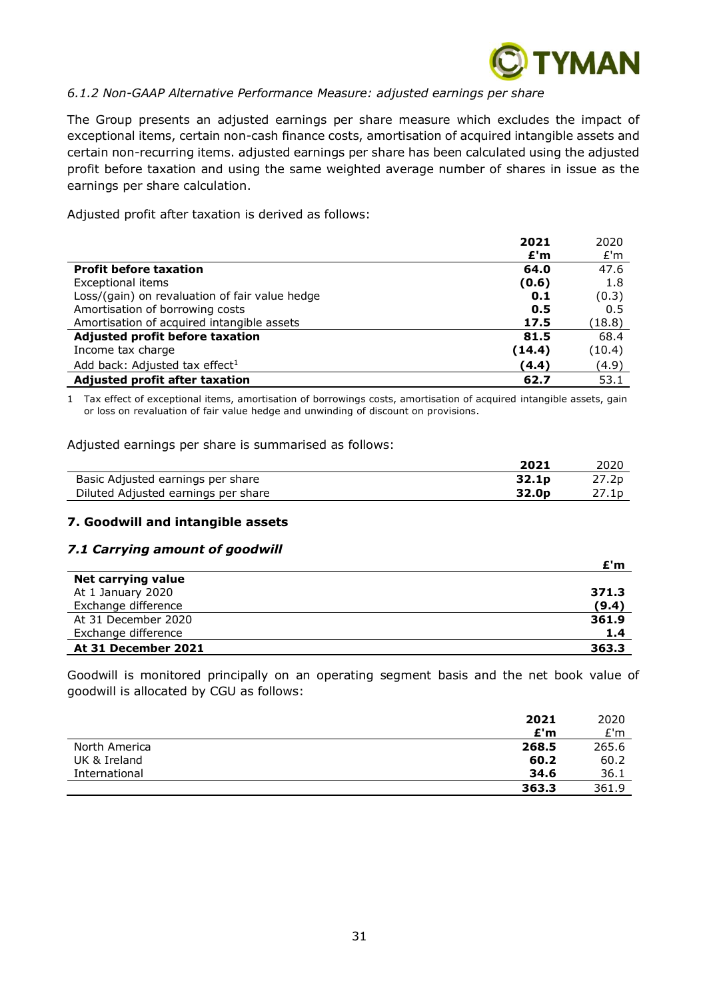

# *6.1.2 Non-GAAP Alternative Performance Measure: adjusted earnings per share*

The Group presents an adjusted earnings per share measure which excludes the impact of exceptional items, certain non-cash finance costs, amortisation of acquired intangible assets and certain non-recurring items. adjusted earnings per share has been calculated using the adjusted profit before taxation and using the same weighted average number of shares in issue as the earnings per share calculation.

Adjusted profit after taxation is derived as follows:

|                                                | 2021   | 2020   |
|------------------------------------------------|--------|--------|
|                                                | E'm    | E'm    |
| <b>Profit before taxation</b>                  | 64.0   | 47.6   |
| Exceptional items                              | (0.6)  | 1.8    |
| Loss/(gain) on revaluation of fair value hedge | 0.1    | (0.3)  |
| Amortisation of borrowing costs                | 0.5    | 0.5    |
| Amortisation of acquired intangible assets     | 17.5   | (18.8) |
| Adjusted profit before taxation                | 81.5   | 68.4   |
| Income tax charge                              | (14.4) | (10.4) |
| Add back: Adjusted tax effect <sup>1</sup>     | (4.4)  | (4.9)  |
| Adjusted profit after taxation                 | 62.7   | 53.1   |

1 Tax effect of exceptional items, amortisation of borrowings costs, amortisation of acquired intangible assets, gain or loss on revaluation of fair value hedge and unwinding of discount on provisions.

Adjusted earnings per share is summarised as follows:

|                                     | 2021              | 2020  |
|-------------------------------------|-------------------|-------|
| Basic Adjusted earnings per share   | 32.1 <sub>p</sub> | 27.2p |
| Diluted Adjusted earnings per share | 32.0 <sub>p</sub> | 27.1p |

#### **7. Goodwill and intangible assets**

#### *7.1 Carrying amount of goodwill*

|                     | £'m   |
|---------------------|-------|
| Net carrying value  |       |
| At 1 January 2020   | 371.3 |
| Exchange difference | (9.4) |
| At 31 December 2020 | 361.9 |
| Exchange difference | 1.4   |
| At 31 December 2021 | 363.3 |

Goodwill is monitored principally on an operating segment basis and the net book value of goodwill is allocated by CGU as follows:

|               | 2021  | 2020  |
|---------------|-------|-------|
|               | E'm   | E'm   |
| North America | 268.5 | 265.6 |
| UK & Ireland  | 60.2  | 60.2  |
| International | 34.6  | 36.1  |
|               | 363.3 | 361.9 |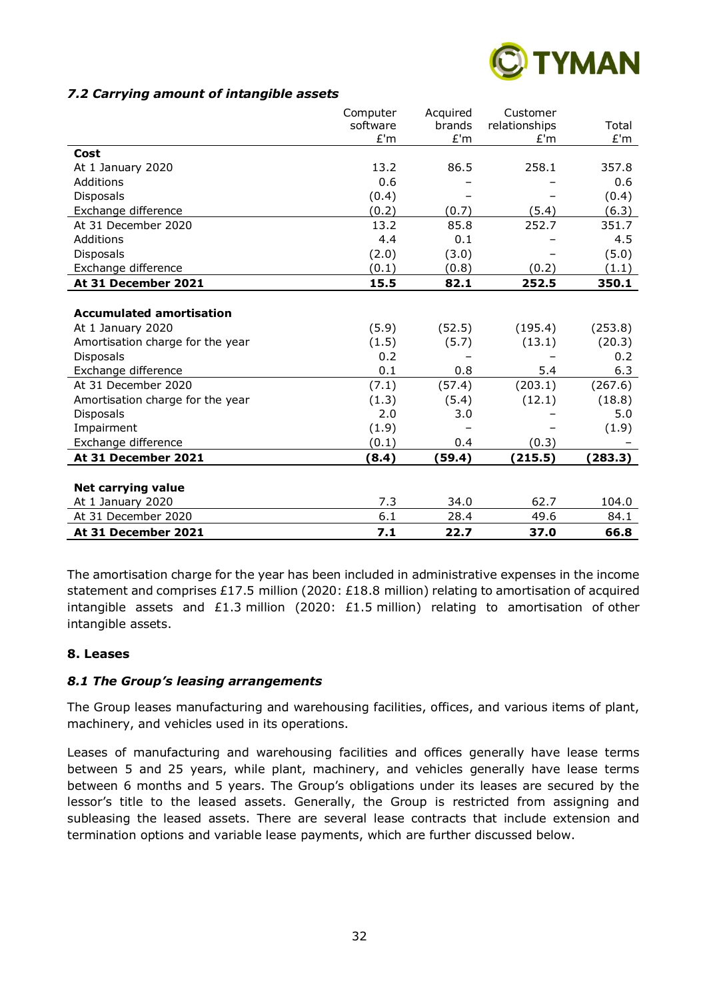

#### *7.2 Carrying amount of intangible assets*

|                                  | Computer | Acquired | Customer      |         |
|----------------------------------|----------|----------|---------------|---------|
|                                  | software | brands   | relationships | Total   |
|                                  | E'm      | E'm      | E'm           | E'm     |
| Cost                             |          |          |               |         |
| At 1 January 2020                | 13.2     | 86.5     | 258.1         | 357.8   |
| Additions                        | 0.6      |          |               | 0.6     |
| <b>Disposals</b>                 | (0.4)    |          |               | (0.4)   |
| Exchange difference              | (0.2)    | (0.7)    | (5.4)         | (6.3)   |
| At 31 December 2020              | 13.2     | 85.8     | 252.7         | 351.7   |
| Additions                        | 4.4      | 0.1      |               | 4.5     |
| <b>Disposals</b>                 | (2.0)    | (3.0)    |               | (5.0)   |
| Exchange difference              | (0.1)    | (0.8)    | (0.2)         | (1.1)   |
| At 31 December 2021              | 15.5     | 82.1     | 252.5         | 350.1   |
|                                  |          |          |               |         |
| <b>Accumulated amortisation</b>  |          |          |               |         |
| At 1 January 2020                | (5.9)    | (52.5)   | (195.4)       | (253.8) |
| Amortisation charge for the year | (1.5)    | (5.7)    | (13.1)        | (20.3)  |
| <b>Disposals</b>                 | 0.2      |          |               | 0.2     |
| Exchange difference              | 0.1      | 0.8      | 5.4           | 6.3     |
| At 31 December 2020              | (7.1)    | (57.4)   | (203.1)       | (267.6) |
| Amortisation charge for the year | (1.3)    | (5.4)    | (12.1)        | (18.8)  |
| <b>Disposals</b>                 | 2.0      | 3.0      |               | 5.0     |
| Impairment                       | (1.9)    |          |               | (1.9)   |
| Exchange difference              | (0.1)    | 0.4      | (0.3)         |         |
| At 31 December 2021              | (8.4)    | (59.4)   | (215.5)       | (283.3) |
|                                  |          |          |               |         |
| <b>Net carrying value</b>        |          |          |               |         |
| At 1 January 2020                | 7.3      | 34.0     | 62.7          | 104.0   |
| At 31 December 2020              | 6.1      | 28.4     | 49.6          | 84.1    |
| At 31 December 2021              | 7.1      | 22.7     | 37.0          | 66.8    |

The amortisation charge for the year has been included in administrative expenses in the income statement and comprises £17.5 million (2020: £18.8 million) relating to amortisation of acquired intangible assets and £1.3 million (2020: £1.5 million) relating to amortisation of other intangible assets.

# **8. Leases**

# *8.1 The Group's leasing arrangements*

The Group leases manufacturing and warehousing facilities, offices, and various items of plant, machinery, and vehicles used in its operations.

Leases of manufacturing and warehousing facilities and offices generally have lease terms between 5 and 25 years, while plant, machinery, and vehicles generally have lease terms between 6 months and 5 years. The Group's obligations under its leases are secured by the lessor's title to the leased assets. Generally, the Group is restricted from assigning and subleasing the leased assets. There are several lease contracts that include extension and termination options and variable lease payments, which are further discussed below.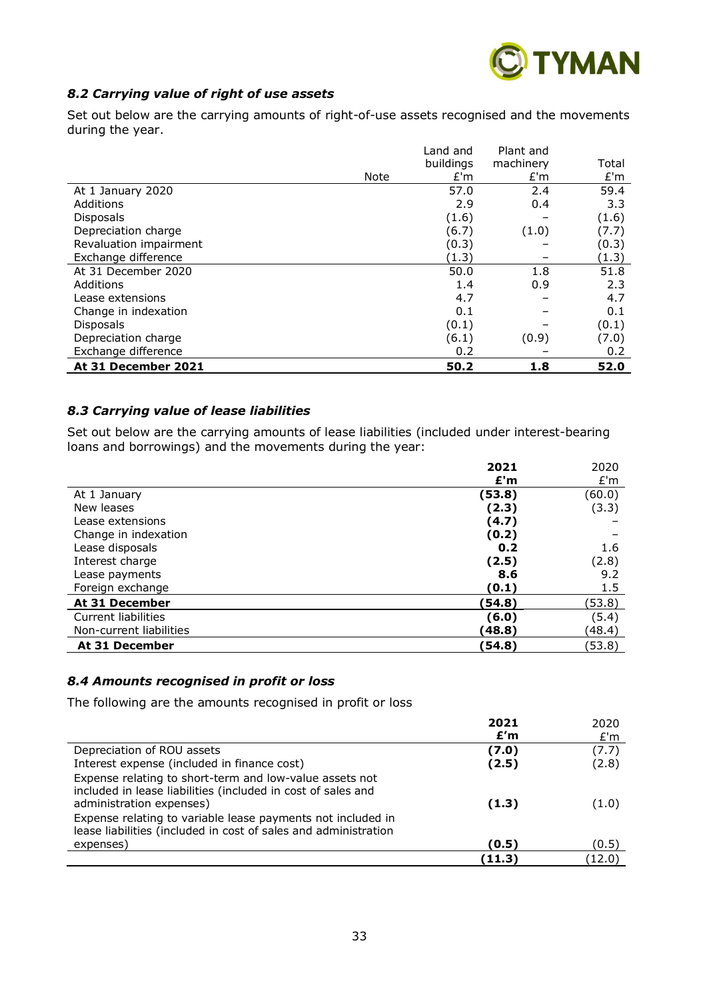

# *8.2 Carrying value of right of use assets*

Set out below are the carrying amounts of right-of-use assets recognised and the movements during the year.

|                        |      | Land and  | Plant and |       |
|------------------------|------|-----------|-----------|-------|
|                        |      | buildings | machinery | Total |
|                        | Note | E'm       | E'm       | E'm   |
| At 1 January 2020      |      | 57.0      | 2.4       | 59.4  |
| Additions              |      | 2.9       | 0.4       | 3.3   |
| <b>Disposals</b>       |      | (1.6)     |           | (1.6) |
| Depreciation charge    |      | (6.7)     | (1.0)     | (7.7) |
| Revaluation impairment |      | (0.3)     |           | (0.3) |
| Exchange difference    |      | (1.3)     |           | (1.3) |
| At 31 December 2020    |      | 50.0      | 1.8       | 51.8  |
| Additions              |      | 1.4       | 0.9       | 2.3   |
| Lease extensions       |      | 4.7       |           | 4.7   |
| Change in indexation   |      | 0.1       |           | 0.1   |
| <b>Disposals</b>       |      | (0.1)     |           | (0.1) |
| Depreciation charge    |      | (6.1)     | (0.9)     | (7.0) |
| Exchange difference    |      | 0.2       |           | 0.2   |
| At 31 December 2021    |      | 50.2      | 1.8       | 52.0  |

#### *8.3 Carrying value of lease liabilities*

Set out below are the carrying amounts of lease liabilities (included under interest-bearing loans and borrowings) and the movements during the year:

|                         | 2021   | 2020   |
|-------------------------|--------|--------|
|                         | E'm    | E'm    |
| At 1 January            | (53.8) | (60.0) |
| New leases              | (2.3)  | (3.3)  |
| Lease extensions        | (4.7)  |        |
| Change in indexation    | (0.2)  |        |
| Lease disposals         | 0.2    | 1.6    |
| Interest charge         | (2.5)  | (2.8)  |
| Lease payments          | 8.6    | 9.2    |
| Foreign exchange        | (0.1)  | 1.5    |
| At 31 December          | (54.8) | (53.8) |
| Current liabilities     | (6.0)  | (5.4)  |
| Non-current liabilities | (48.8) | (48.4) |
| At 31 December          | (54.8) | (53.8) |

# *8.4 Amounts recognised in profit or loss*

The following are the amounts recognised in profit or loss

|                                                                                                                                                                                                                                                                                       | 2021<br>E'm | 2020<br>E'm |
|---------------------------------------------------------------------------------------------------------------------------------------------------------------------------------------------------------------------------------------------------------------------------------------|-------------|-------------|
| Depreciation of ROU assets                                                                                                                                                                                                                                                            | (7.0)       | (7.7)       |
| Interest expense (included in finance cost)                                                                                                                                                                                                                                           | (2.5)       | (2.8)       |
| Expense relating to short-term and low-value assets not<br>included in lease liabilities (included in cost of sales and<br>administration expenses)<br>Expense relating to variable lease payments not included in<br>lease liabilities (included in cost of sales and administration | (1.3)       | (1.0)       |
| expenses)                                                                                                                                                                                                                                                                             | (0.5)       | (0.5)       |
|                                                                                                                                                                                                                                                                                       | (11.3)      | (12.0)      |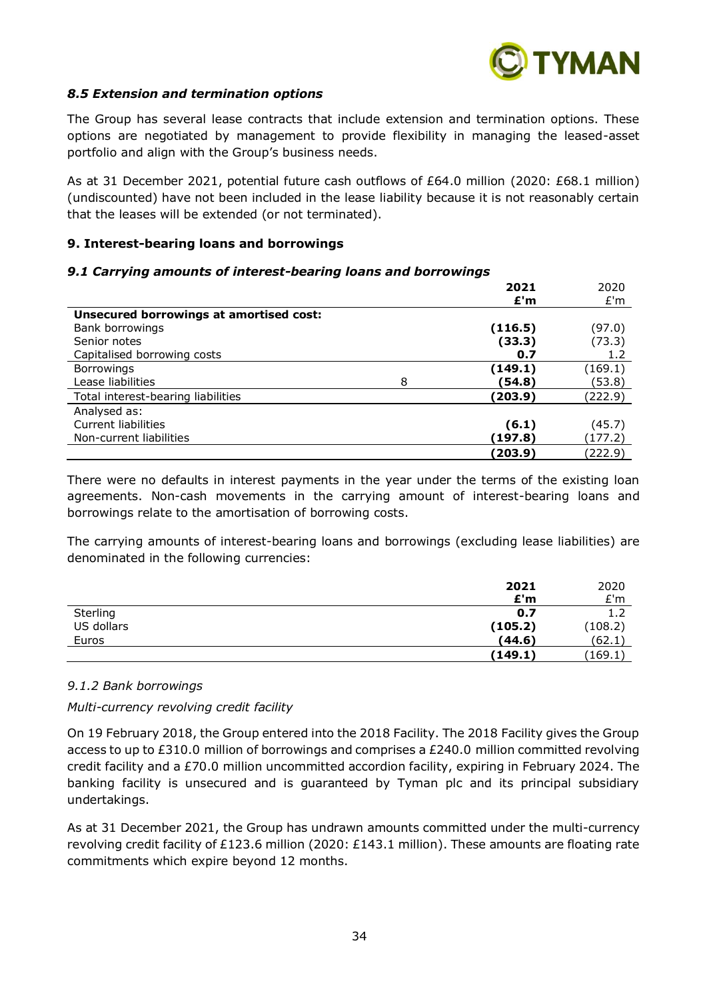

# *8.5 Extension and termination options*

The Group has several lease contracts that include extension and termination options. These options are negotiated by management to provide flexibility in managing the leased-asset portfolio and align with the Group's business needs.

As at 31 December 2021, potential future cash outflows of £64.0 million (2020: £68.1 million) (undiscounted) have not been included in the lease liability because it is not reasonably certain that the leases will be extended (or not terminated).

#### **9. Interest-bearing loans and borrowings**

#### *9.1 Carrying amounts of interest-bearing loans and borrowings*

|                                         |   | 2021    | 2020    |
|-----------------------------------------|---|---------|---------|
|                                         |   | £'m     | £'m     |
| Unsecured borrowings at amortised cost: |   |         |         |
| Bank borrowings                         |   | (116.5) | (97.0)  |
| Senior notes                            |   | (33.3)  | (73.3)  |
| Capitalised borrowing costs             |   | 0.7     | 1.2     |
| <b>Borrowings</b>                       |   | (149.1) | (169.1) |
| Lease liabilities                       | 8 | (54.8)  | (53.8)  |
| Total interest-bearing liabilities      |   | (203.9) | (222.9) |
| Analysed as:                            |   |         |         |
| Current liabilities                     |   | (6.1)   | (45.7)  |
| Non-current liabilities                 |   | (197.8) | (177.2) |
|                                         |   | (203.9) | (222.9) |

There were no defaults in interest payments in the year under the terms of the existing loan agreements. Non-cash movements in the carrying amount of interest-bearing loans and borrowings relate to the amortisation of borrowing costs.

The carrying amounts of interest-bearing loans and borrowings (excluding lease liabilities) are denominated in the following currencies:

|            | 2021    | 2020    |
|------------|---------|---------|
|            | E'm     | E'm     |
| Sterling   | 0.7     | 1.2     |
| US dollars | (105.2) | (108.2) |
| Euros      | (44.6)  | (62.1)  |
|            | (149.1) | (169.1) |

#### *9.1.2 Bank borrowings*

#### *Multi-currency revolving credit facility*

On 19 February 2018, the Group entered into the 2018 Facility. The 2018 Facility gives the Group access to up to £310.0 million of borrowings and comprises a £240.0 million committed revolving credit facility and a £70.0 million uncommitted accordion facility, expiring in February 2024. The banking facility is unsecured and is guaranteed by Tyman plc and its principal subsidiary undertakings.

As at 31 December 2021, the Group has undrawn amounts committed under the multi-currency revolving credit facility of £123.6 million (2020: £143.1 million). These amounts are floating rate commitments which expire beyond 12 months.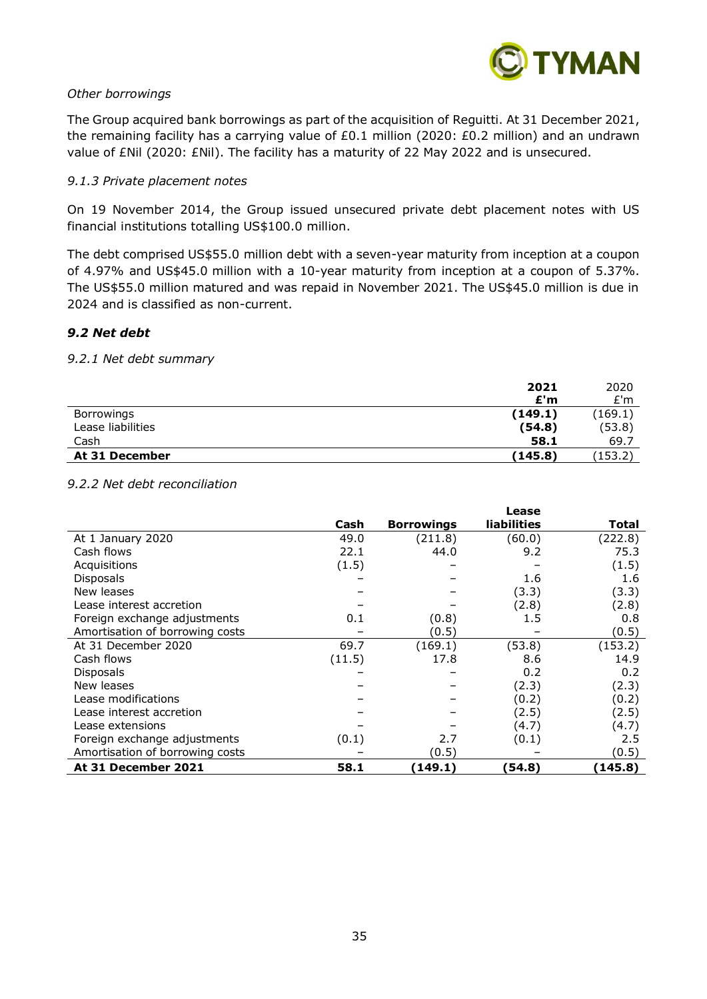

#### *Other borrowings*

The Group acquired bank borrowings as part of the acquisition of Reguitti. At 31 December 2021, the remaining facility has a carrying value of £0.1 million (2020: £0.2 million) and an undrawn value of £Nil (2020: £Nil). The facility has a maturity of 22 May 2022 and is unsecured.

#### *9.1.3 Private placement notes*

On 19 November 2014, the Group issued unsecured private debt placement notes with US financial institutions totalling US\$100.0 million.

The debt comprised US\$55.0 million debt with a seven-year maturity from inception at a coupon of 4.97% and US\$45.0 million with a 10-year maturity from inception at a coupon of 5.37%. The US\$55.0 million matured and was repaid in November 2021. The US\$45.0 million is due in 2024 and is classified as non-current.

#### *9.2 Net debt*

#### *9.2.1 Net debt summary*

|                   | 2021    | 2020    |
|-------------------|---------|---------|
|                   | £'m     | E'm     |
| Borrowings        | (149.1) | (169.1) |
| Lease liabilities | (54.8)  | (53.8)  |
| Cash              | 58.1    | 69.7    |
| At 31 December    | (145.8) | (153.2) |

#### *9.2.2 Net debt reconciliation*

|                                 |        |                   | Lease              |         |
|---------------------------------|--------|-------------------|--------------------|---------|
|                                 | Cash   | <b>Borrowings</b> | <b>liabilities</b> | Total   |
| At 1 January 2020               | 49.0   | (211.8)           | (60.0)             | (222.8) |
| Cash flows                      | 22.1   | 44.0              | 9.2                | 75.3    |
| Acquisitions                    | (1.5)  |                   |                    | (1.5)   |
| <b>Disposals</b>                |        |                   | 1.6                | 1.6     |
| New leases                      |        |                   | (3.3)              | (3.3)   |
| Lease interest accretion        |        |                   | (2.8)              | (2.8)   |
| Foreign exchange adjustments    | 0.1    | (0.8)             | 1.5                | 0.8     |
| Amortisation of borrowing costs |        | (0.5)             |                    | (0.5)   |
| At 31 December 2020             | 69.7   | (169.1)           | (53.8)             | (153.2) |
| Cash flows                      | (11.5) | 17.8              | 8.6                | 14.9    |
| Disposals                       |        |                   | 0.2                | 0.2     |
| New leases                      |        |                   | (2.3)              | (2.3)   |
| Lease modifications             |        |                   | (0.2)              | (0.2)   |
| Lease interest accretion        |        |                   | (2.5)              | (2.5)   |
| Lease extensions                |        |                   | (4.7)              | (4.7)   |
| Foreign exchange adjustments    | (0.1)  | 2.7               | (0.1)              | 2.5     |
| Amortisation of borrowing costs |        | (0.5)             |                    | (0.5)   |
| At 31 December 2021             | 58.1   | (149.1)           | (54.8)             | (145.8) |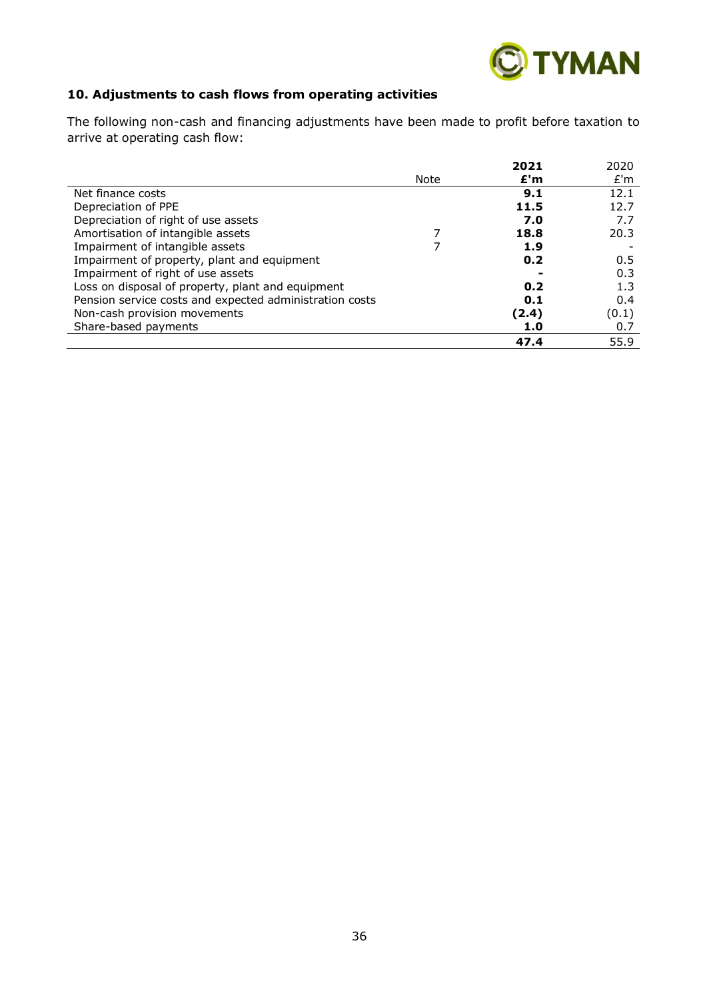

# **10. Adjustments to cash flows from operating activities**

The following non-cash and financing adjustments have been made to profit before taxation to arrive at operating cash flow:

|                                                         |      | 2021  | 2020  |
|---------------------------------------------------------|------|-------|-------|
|                                                         | Note | £'m   | E'm   |
| Net finance costs                                       |      | 9.1   | 12.1  |
| Depreciation of PPE                                     |      | 11.5  | 12.7  |
| Depreciation of right of use assets                     |      | 7.0   | 7.7   |
| Amortisation of intangible assets                       |      | 18.8  | 20.3  |
| Impairment of intangible assets                         |      | 1.9   |       |
| Impairment of property, plant and equipment             |      | 0.2   | 0.5   |
| Impairment of right of use assets                       |      |       | 0.3   |
| Loss on disposal of property, plant and equipment       |      | 0.2   | 1.3   |
| Pension service costs and expected administration costs |      | 0.1   | 0.4   |
| Non-cash provision movements                            |      | (2.4) | (0.1) |
| Share-based payments                                    |      | 1.0   | 0.7   |
|                                                         |      | 47.4  | 55.9  |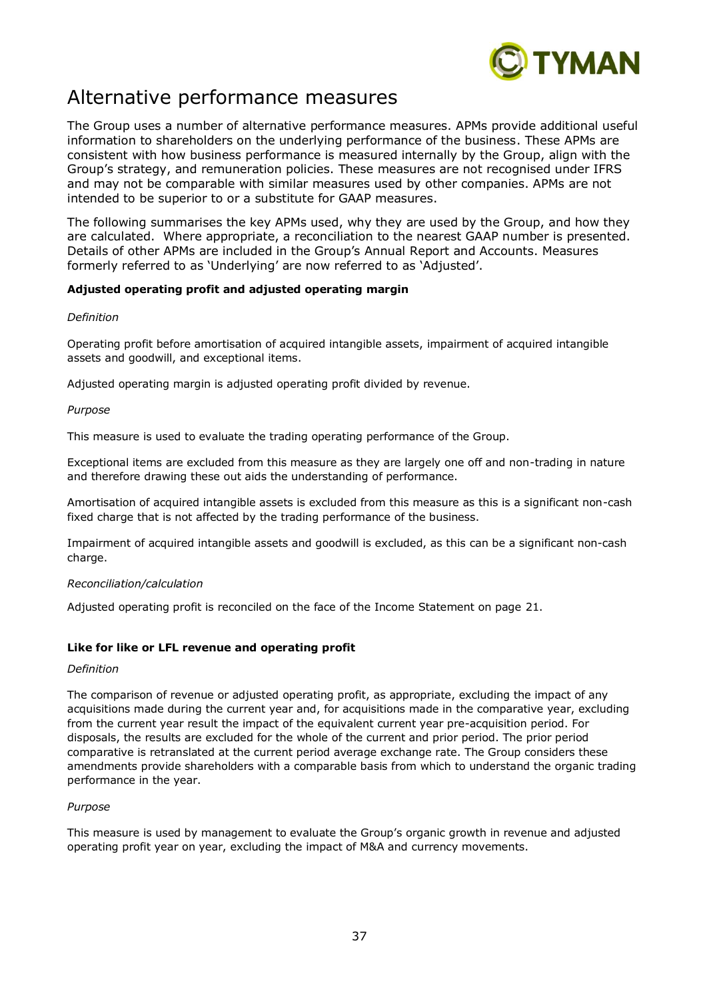

# Alternative performance measures

The Group uses a number of alternative performance measures. APMs provide additional useful information to shareholders on the underlying performance of the business. These APMs are consistent with how business performance is measured internally by the Group, align with the Group's strategy, and remuneration policies. These measures are not recognised under IFRS and may not be comparable with similar measures used by other companies. APMs are not intended to be superior to or a substitute for GAAP measures.

The following summarises the key APMs used, why they are used by the Group, and how they are calculated. Where appropriate, a reconciliation to the nearest GAAP number is presented. Details of other APMs are included in the Group's Annual Report and Accounts. Measures formerly referred to as 'Underlying' are now referred to as 'Adjusted'.

#### **Adjusted operating profit and adjusted operating margin**

#### *Definition*

Operating profit before amortisation of acquired intangible assets, impairment of acquired intangible assets and goodwill, and exceptional items.

Adjusted operating margin is adjusted operating profit divided by revenue.

#### *Purpose*

This measure is used to evaluate the trading operating performance of the Group.

Exceptional items are excluded from this measure as they are largely one off and non-trading in nature and therefore drawing these out aids the understanding of performance.

Amortisation of acquired intangible assets is excluded from this measure as this is a significant non-cash fixed charge that is not affected by the trading performance of the business.

Impairment of acquired intangible assets and goodwill is excluded, as this can be a significant non-cash charge.

#### *Reconciliation/calculation*

Adjusted operating profit is reconciled on the face of the Income Statement on page 21.

#### **Like for like or LFL revenue and operating profit**

#### *Definition*

The comparison of revenue or adjusted operating profit, as appropriate, excluding the impact of any acquisitions made during the current year and, for acquisitions made in the comparative year, excluding from the current year result the impact of the equivalent current year pre-acquisition period. For disposals, the results are excluded for the whole of the current and prior period. The prior period comparative is retranslated at the current period average exchange rate. The Group considers these amendments provide shareholders with a comparable basis from which to understand the organic trading performance in the year.

#### *Purpose*

This measure is used by management to evaluate the Group's organic growth in revenue and adjusted operating profit year on year, excluding the impact of M&A and currency movements.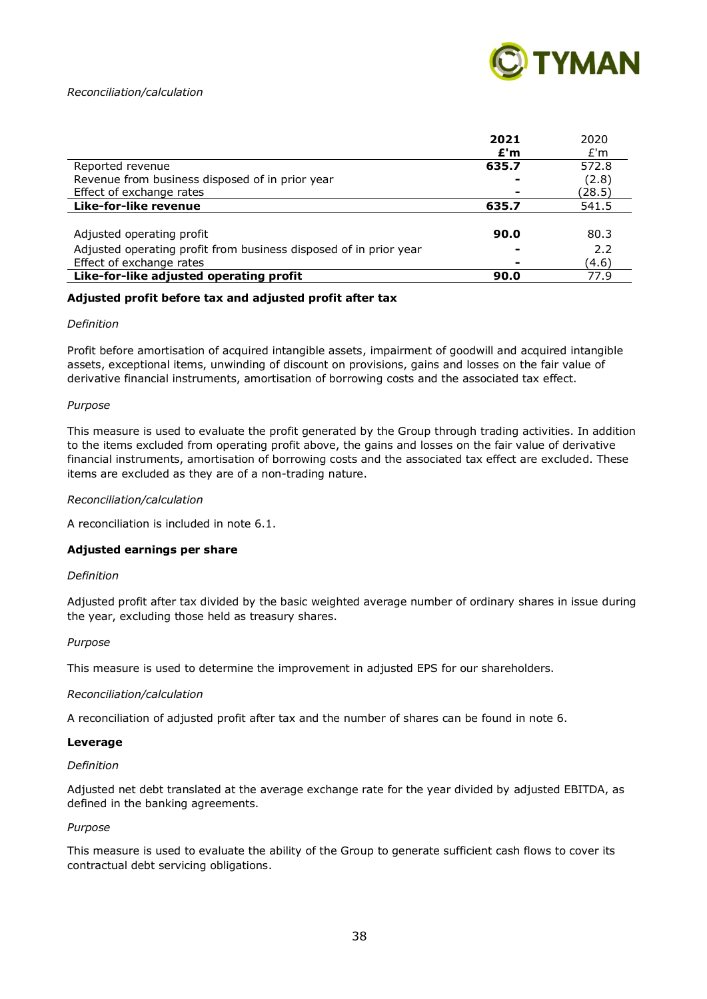

#### *Reconciliation/calculation*

|                                                                   | 2021  | 2020   |
|-------------------------------------------------------------------|-------|--------|
|                                                                   | E'm   | E'm    |
| Reported revenue                                                  | 635.7 | 572.8  |
| Revenue from business disposed of in prior year                   | -     | (2.8)  |
| Effect of exchange rates                                          |       | (28.5) |
| Like-for-like revenue                                             | 635.7 | 541.5  |
|                                                                   |       |        |
| Adjusted operating profit                                         | 90.0  | 80.3   |
| Adjusted operating profit from business disposed of in prior year |       | 2.2    |
| Effect of exchange rates                                          |       | (4.6)  |
| Like-for-like adjusted operating profit                           | 90.0  | 77.9   |

#### **Adjusted profit before tax and adjusted profit after tax**

#### *Definition*

Profit before amortisation of acquired intangible assets, impairment of goodwill and acquired intangible assets, exceptional items, unwinding of discount on provisions, gains and losses on the fair value of derivative financial instruments, amortisation of borrowing costs and the associated tax effect.

#### *Purpose*

This measure is used to evaluate the profit generated by the Group through trading activities. In addition to the items excluded from operating profit above, the gains and losses on the fair value of derivative financial instruments, amortisation of borrowing costs and the associated tax effect are excluded. These items are excluded as they are of a non-trading nature.

#### *Reconciliation/calculation*

A reconciliation is included in note 6.1.

#### **Adjusted earnings per share**

#### *Definition*

Adjusted profit after tax divided by the basic weighted average number of ordinary shares in issue during the year, excluding those held as treasury shares.

#### *Purpose*

This measure is used to determine the improvement in adjusted EPS for our shareholders.

#### *Reconciliation/calculation*

A reconciliation of adjusted profit after tax and the number of shares can be found in note 6.

#### **Leverage**

#### *Definition*

Adjusted net debt translated at the average exchange rate for the year divided by adjusted EBITDA, as defined in the banking agreements.

#### *Purpose*

This measure is used to evaluate the ability of the Group to generate sufficient cash flows to cover its contractual debt servicing obligations.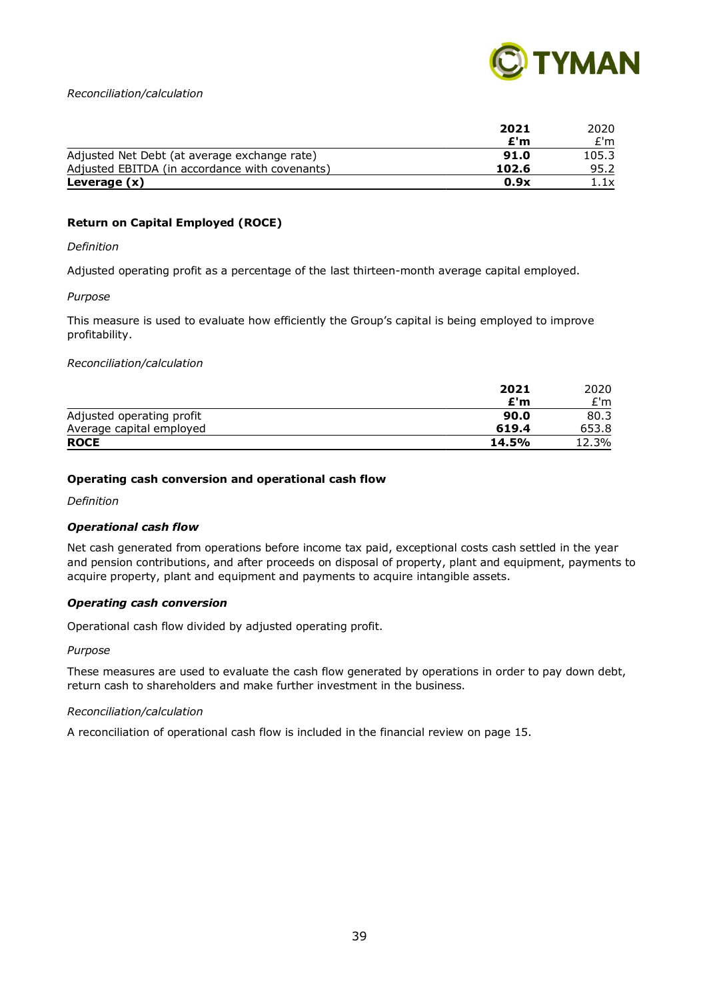

#### *Reconciliation/calculation*

|                                                | 2021  | 2020  |
|------------------------------------------------|-------|-------|
|                                                | £'m   | £'m   |
| Adjusted Net Debt (at average exchange rate)   | 91.0  | 105.3 |
| Adjusted EBITDA (in accordance with covenants) | 102.6 | 95.2  |
| Leverage (x)                                   | 0.9x  | 1.1x  |

#### **Return on Capital Employed (ROCE)**

#### *Definition*

Adjusted operating profit as a percentage of the last thirteen-month average capital employed.

#### *Purpose*

This measure is used to evaluate how efficiently the Group's capital is being employed to improve profitability.

#### *Reconciliation/calculation*

|                           | 2021  | 2020  |
|---------------------------|-------|-------|
|                           | £'m   | £'m   |
| Adjusted operating profit | 90.0  | 80.3  |
| Average capital employed  | 619.4 | 653.8 |
| <b>ROCE</b>               | 14.5% | 12.3% |

#### **Operating cash conversion and operational cash flow**

*Definition*

#### *Operational cash flow*

Net cash generated from operations before income tax paid, exceptional costs cash settled in the year and pension contributions, and after proceeds on disposal of property, plant and equipment, payments to acquire property, plant and equipment and payments to acquire intangible assets.

#### *Operating cash conversion*

Operational cash flow divided by adjusted operating profit.

#### *Purpose*

These measures are used to evaluate the cash flow generated by operations in order to pay down debt, return cash to shareholders and make further investment in the business.

#### *Reconciliation/calculation*

A reconciliation of operational cash flow is included in the financial review on page 15.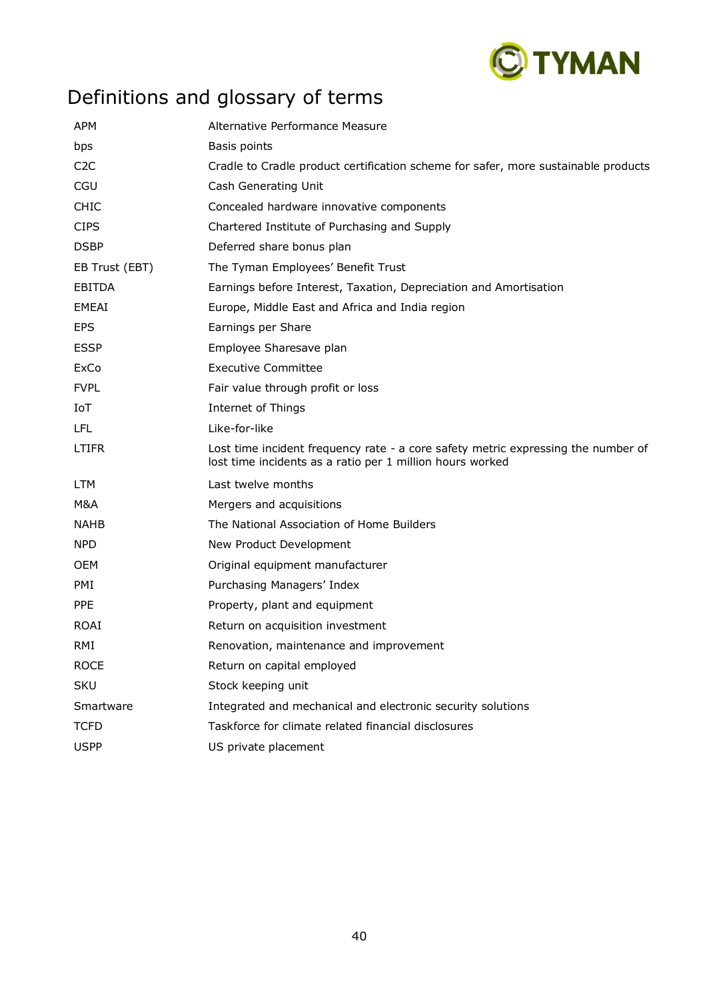

# Definitions and glossary of terms

| <b>APM</b>       | Alternative Performance Measure                                                                                                                |
|------------------|------------------------------------------------------------------------------------------------------------------------------------------------|
| bps              | Basis points                                                                                                                                   |
| C <sub>2</sub> C | Cradle to Cradle product certification scheme for safer, more sustainable products                                                             |
| <b>CGU</b>       | Cash Generating Unit                                                                                                                           |
| <b>CHIC</b>      | Concealed hardware innovative components                                                                                                       |
| <b>CIPS</b>      | Chartered Institute of Purchasing and Supply                                                                                                   |
| <b>DSBP</b>      | Deferred share bonus plan                                                                                                                      |
| EB Trust (EBT)   | The Tyman Employees' Benefit Trust                                                                                                             |
| <b>EBITDA</b>    | Earnings before Interest, Taxation, Depreciation and Amortisation                                                                              |
| EMEAI            | Europe, Middle East and Africa and India region                                                                                                |
| <b>EPS</b>       | Earnings per Share                                                                                                                             |
| <b>ESSP</b>      | Employee Sharesave plan                                                                                                                        |
| ExCo             | <b>Executive Committee</b>                                                                                                                     |
| <b>FVPL</b>      | Fair value through profit or loss                                                                                                              |
| IoT              | Internet of Things                                                                                                                             |
| <b>LFL</b>       | Like-for-like                                                                                                                                  |
| LTIFR            | Lost time incident frequency rate - a core safety metric expressing the number of<br>lost time incidents as a ratio per 1 million hours worked |
| <b>LTM</b>       | Last twelve months                                                                                                                             |
| M&A              | Mergers and acquisitions                                                                                                                       |
| <b>NAHB</b>      | The National Association of Home Builders                                                                                                      |
| NPD.             | New Product Development                                                                                                                        |
| <b>OEM</b>       | Original equipment manufacturer                                                                                                                |
| PMI              | Purchasing Managers' Index                                                                                                                     |
| <b>PPE</b>       | Property, plant and equipment                                                                                                                  |
| <b>ROAI</b>      | Return on acquisition investment                                                                                                               |
| RMI              | Renovation, maintenance and improvement                                                                                                        |
| <b>ROCE</b>      | Return on capital employed                                                                                                                     |
| <b>SKU</b>       | Stock keeping unit                                                                                                                             |
| Smartware        | Integrated and mechanical and electronic security solutions                                                                                    |
| <b>TCFD</b>      | Taskforce for climate related financial disclosures                                                                                            |
| <b>USPP</b>      | US private placement                                                                                                                           |